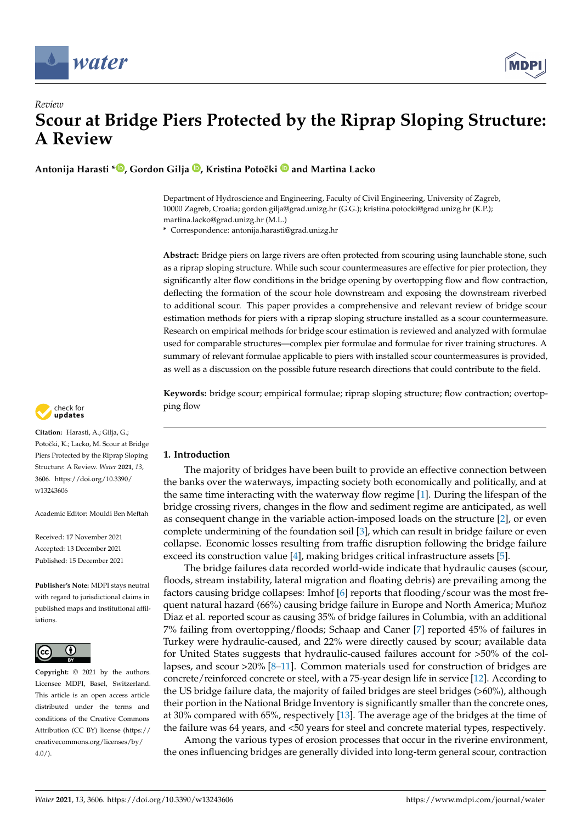



**Antonija Harasti \* [,](https://orcid.org/0000-0001-8592-4138) Gordon Gilja [,](https://orcid.org/0000-0002-8796-5264) Kristina Potoˇcki and Martina Lacko**

Department of Hydroscience and Engineering, Faculty of Civil Engineering, University of Zagreb, 10000 Zagreb, Croatia; gordon.gilja@grad.unizg.hr (G.G.); kristina.potocki@grad.unizg.hr (K.P.); martina.lacko@grad.unizg.hr (M.L.)

**\*** Correspondence: antonija.harasti@grad.unizg.hr

**Abstract:** Bridge piers on large rivers are often protected from scouring using launchable stone, such as a riprap sloping structure. While such scour countermeasures are effective for pier protection, they significantly alter flow conditions in the bridge opening by overtopping flow and flow contraction, deflecting the formation of the scour hole downstream and exposing the downstream riverbed to additional scour. This paper provides a comprehensive and relevant review of bridge scour estimation methods for piers with a riprap sloping structure installed as a scour countermeasure. Research on empirical methods for bridge scour estimation is reviewed and analyzed with formulae used for comparable structures—complex pier formulae and formulae for river training structures. A summary of relevant formulae applicable to piers with installed scour countermeasures is provided, as well as a discussion on the possible future research directions that could contribute to the field.

**Keywords:** bridge scour; empirical formulae; riprap sloping structure; flow contraction; overtopping flow



**Citation:** Harasti, A.; Gilja, G.; Potočki, K.; Lacko, M. Scour at Bridge Piers Protected by the Riprap Sloping Structure: A Review. *Water* **2021**, *13*, 3606. [https://doi.org/10.3390/](https://doi.org/10.3390/w13243606) [w13243606](https://doi.org/10.3390/w13243606)

Academic Editor: Mouldi Ben Meftah

Received: 17 November 2021 Accepted: 13 December 2021 Published: 15 December 2021

**Publisher's Note:** MDPI stays neutral with regard to jurisdictional claims in published maps and institutional affiliations.



**Copyright:** © 2021 by the authors. Licensee MDPI, Basel, Switzerland. This article is an open access article distributed under the terms and conditions of the Creative Commons Attribution (CC BY) license (https:/[/](https://creativecommons.org/licenses/by/4.0/) [creativecommons.org/licenses/by/](https://creativecommons.org/licenses/by/4.0/)  $4.0/$ ).

**1. Introduction**

The majority of bridges have been built to provide an effective connection between the banks over the waterways, impacting society both economically and politically, and at the same time interacting with the waterway flow regime [\[1\]](#page-17-0). During the lifespan of the bridge crossing rivers, changes in the flow and sediment regime are anticipated, as well as consequent change in the variable action-imposed loads on the structure [\[2\]](#page-17-1), or even complete undermining of the foundation soil [\[3\]](#page-17-2), which can result in bridge failure or even collapse. Economic losses resulting from traffic disruption following the bridge failure exceed its construction value [\[4\]](#page-17-3), making bridges critical infrastructure assets [\[5\]](#page-17-4).

The bridge failures data recorded world-wide indicate that hydraulic causes (scour, floods, stream instability, lateral migration and floating debris) are prevailing among the factors causing bridge collapses: Imhof [\[6\]](#page-17-5) reports that flooding/scour was the most frequent natural hazard (66%) causing bridge failure in Europe and North America; Muñoz Diaz et al. reported scour as causing 35% of bridge failures in Columbia, with an additional 7% failing from overtopping/floods; Schaap and Caner [\[7\]](#page-17-6) reported 45% of failures in Turkey were hydraulic-caused, and 22% were directly caused by scour; available data for United States suggests that hydraulic-caused failures account for >50% of the collapses, and scour >20% [\[8](#page-17-7)[–11\]](#page-17-8). Common materials used for construction of bridges are concrete/reinforced concrete or steel, with a 75-year design life in service [\[12\]](#page-17-9). According to the US bridge failure data, the majority of failed bridges are steel bridges (>60%), although their portion in the National Bridge Inventory is significantly smaller than the concrete ones, at 30% compared with 65%, respectively [\[13\]](#page-17-10). The average age of the bridges at the time of the failure was 64 years, and <50 years for steel and concrete material types, respectively.

Among the various types of erosion processes that occur in the riverine environment, the ones influencing bridges are generally divided into long-term general scour, contraction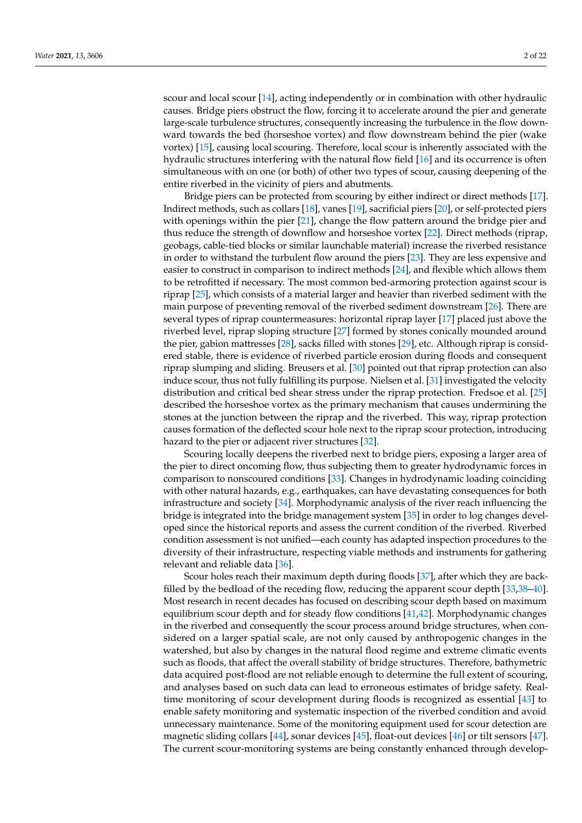scour and local scour [\[14\]](#page-17-11), acting independently or in combination with other hydraulic causes. Bridge piers obstruct the flow, forcing it to accelerate around the pier and generate large-scale turbulence structures, consequently increasing the turbulence in the flow downward towards the bed (horseshoe vortex) and flow downstream behind the pier (wake vortex) [\[15\]](#page-17-12), causing local scouring. Therefore, local scour is inherently associated with the hydraulic structures interfering with the natural flow field [\[16\]](#page-17-13) and its occurrence is often simultaneous with on one (or both) of other two types of scour, causing deepening of the entire riverbed in the vicinity of piers and abutments.

Bridge piers can be protected from scouring by either indirect or direct methods [\[17\]](#page-17-14). Indirect methods, such as collars [\[18\]](#page-17-15), vanes [\[19\]](#page-17-16), sacrificial piers [\[20\]](#page-17-17), or self-protected piers with openings within the pier [\[21\]](#page-17-18), change the flow pattern around the bridge pier and thus reduce the strength of downflow and horseshoe vortex [\[22\]](#page-17-19). Direct methods (riprap, geobags, cable-tied blocks or similar launchable material) increase the riverbed resistance in order to withstand the turbulent flow around the piers [\[23\]](#page-17-20). They are less expensive and easier to construct in comparison to indirect methods [\[24\]](#page-17-21), and flexible which allows them to be retrofitted if necessary. The most common bed-armoring protection against scour is riprap [\[25\]](#page-17-22), which consists of a material larger and heavier than riverbed sediment with the main purpose of preventing removal of the riverbed sediment downstream [\[26\]](#page-17-23). There are several types of riprap countermeasures: horizontal riprap layer [\[17\]](#page-17-14) placed just above the riverbed level, riprap sloping structure [\[27\]](#page-17-24) formed by stones conically mounded around the pier, gabion mattresses [\[28\]](#page-17-25), sacks filled with stones [\[29\]](#page-18-0), etc. Although riprap is considered stable, there is evidence of riverbed particle erosion during floods and consequent riprap slumping and sliding. Breusers et al. [\[30\]](#page-18-1) pointed out that riprap protection can also induce scour, thus not fully fulfilling its purpose. Nielsen et al. [\[31\]](#page-18-2) investigated the velocity distribution and critical bed shear stress under the riprap protection. Fredsoe et al. [\[25\]](#page-17-22) described the horseshoe vortex as the primary mechanism that causes undermining the stones at the junction between the riprap and the riverbed. This way, riprap protection causes formation of the deflected scour hole next to the riprap scour protection, introducing hazard to the pier or adjacent river structures [\[32\]](#page-18-3).

Scouring locally deepens the riverbed next to bridge piers, exposing a larger area of the pier to direct oncoming flow, thus subjecting them to greater hydrodynamic forces in comparison to nonscoured conditions [\[33\]](#page-18-4). Changes in hydrodynamic loading coinciding with other natural hazards, e.g., earthquakes, can have devastating consequences for both infrastructure and society [\[34\]](#page-18-5). Morphodynamic analysis of the river reach influencing the bridge is integrated into the bridge management system [\[35\]](#page-18-6) in order to log changes developed since the historical reports and assess the current condition of the riverbed. Riverbed condition assessment is not unified—each county has adapted inspection procedures to the diversity of their infrastructure, respecting viable methods and instruments for gathering relevant and reliable data [\[36\]](#page-18-7).

Scour holes reach their maximum depth during floods [\[37\]](#page-18-8), after which they are backfilled by the bedload of the receding flow, reducing the apparent scour depth [\[33,](#page-18-4)[38](#page-18-9)[–40\]](#page-18-10). Most research in recent decades has focused on describing scour depth based on maximum equilibrium scour depth and for steady flow conditions [\[41](#page-18-11)[,42\]](#page-18-12). Morphodynamic changes in the riverbed and consequently the scour process around bridge structures, when considered on a larger spatial scale, are not only caused by anthropogenic changes in the watershed, but also by changes in the natural flood regime and extreme climatic events such as floods, that affect the overall stability of bridge structures. Therefore, bathymetric data acquired post-flood are not reliable enough to determine the full extent of scouring, and analyses based on such data can lead to erroneous estimates of bridge safety. Realtime monitoring of scour development during floods is recognized as essential [\[43\]](#page-18-13) to enable safety monitoring and systematic inspection of the riverbed condition and avoid unnecessary maintenance. Some of the monitoring equipment used for scour detection are magnetic sliding collars [\[44\]](#page-18-14), sonar devices [\[45\]](#page-18-15), float-out devices [\[46\]](#page-18-16) or tilt sensors [\[47\]](#page-18-17). The current scour-monitoring systems are being constantly enhanced through develop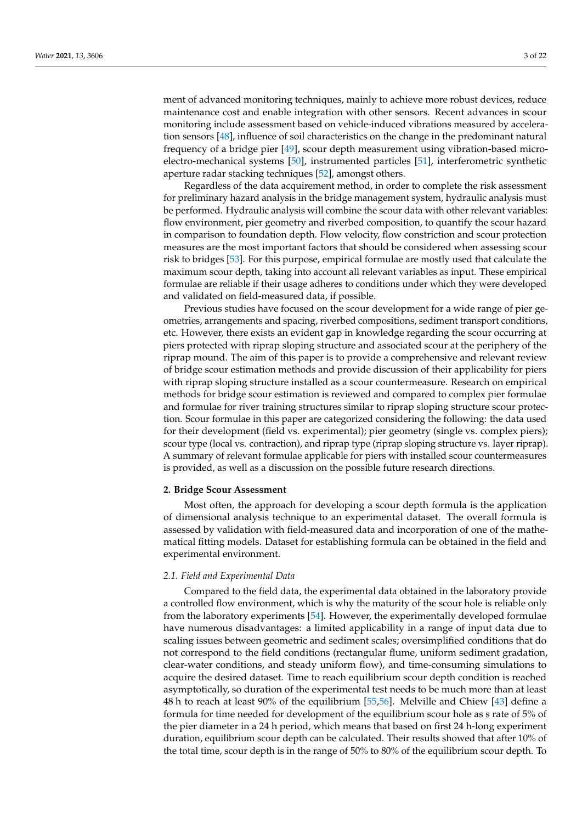ment of advanced monitoring techniques, mainly to achieve more robust devices, reduce maintenance cost and enable integration with other sensors. Recent advances in scour monitoring include assessment based on vehicle-induced vibrations measured by acceleration sensors [\[48\]](#page-18-18), influence of soil characteristics on the change in the predominant natural frequency of a bridge pier [\[49\]](#page-18-19), scour depth measurement using vibration-based microelectro-mechanical systems [\[50\]](#page-18-20), instrumented particles [\[51\]](#page-18-21), interferometric synthetic aperture radar stacking techniques [\[52\]](#page-18-22), amongst others.

Regardless of the data acquirement method, in order to complete the risk assessment for preliminary hazard analysis in the bridge management system, hydraulic analysis must be performed. Hydraulic analysis will combine the scour data with other relevant variables: flow environment, pier geometry and riverbed composition, to quantify the scour hazard in comparison to foundation depth. Flow velocity, flow constriction and scour protection measures are the most important factors that should be considered when assessing scour risk to bridges [\[53\]](#page-18-23). For this purpose, empirical formulae are mostly used that calculate the maximum scour depth, taking into account all relevant variables as input. These empirical formulae are reliable if their usage adheres to conditions under which they were developed and validated on field-measured data, if possible.

Previous studies have focused on the scour development for a wide range of pier geometries, arrangements and spacing, riverbed compositions, sediment transport conditions, etc. However, there exists an evident gap in knowledge regarding the scour occurring at piers protected with riprap sloping structure and associated scour at the periphery of the riprap mound. The aim of this paper is to provide a comprehensive and relevant review of bridge scour estimation methods and provide discussion of their applicability for piers with riprap sloping structure installed as a scour countermeasure. Research on empirical methods for bridge scour estimation is reviewed and compared to complex pier formulae and formulae for river training structures similar to riprap sloping structure scour protection. Scour formulae in this paper are categorized considering the following: the data used for their development (field vs. experimental); pier geometry (single vs. complex piers); scour type (local vs. contraction), and riprap type (riprap sloping structure vs. layer riprap). A summary of relevant formulae applicable for piers with installed scour countermeasures is provided, as well as a discussion on the possible future research directions.

## **2. Bridge Scour Assessment**

Most often, the approach for developing a scour depth formula is the application of dimensional analysis technique to an experimental dataset. The overall formula is assessed by validation with field-measured data and incorporation of one of the mathematical fitting models. Dataset for establishing formula can be obtained in the field and experimental environment.

#### *2.1. Field and Experimental Data*

Compared to the field data, the experimental data obtained in the laboratory provide a controlled flow environment, which is why the maturity of the scour hole is reliable only from the laboratory experiments [\[54\]](#page-18-24). However, the experimentally developed formulae have numerous disadvantages: a limited applicability in a range of input data due to scaling issues between geometric and sediment scales; oversimplified conditions that do not correspond to the field conditions (rectangular flume, uniform sediment gradation, clear-water conditions, and steady uniform flow), and time-consuming simulations to acquire the desired dataset. Time to reach equilibrium scour depth condition is reached asymptotically, so duration of the experimental test needs to be much more than at least 48 h to reach at least 90% of the equilibrium [\[55](#page-18-25)[,56\]](#page-18-26). Melville and Chiew [\[43\]](#page-18-13) define a formula for time needed for development of the equilibrium scour hole as s rate of 5% of the pier diameter in a 24 h period, which means that based on first 24 h-long experiment duration, equilibrium scour depth can be calculated. Their results showed that after 10% of the total time, scour depth is in the range of 50% to 80% of the equilibrium scour depth. To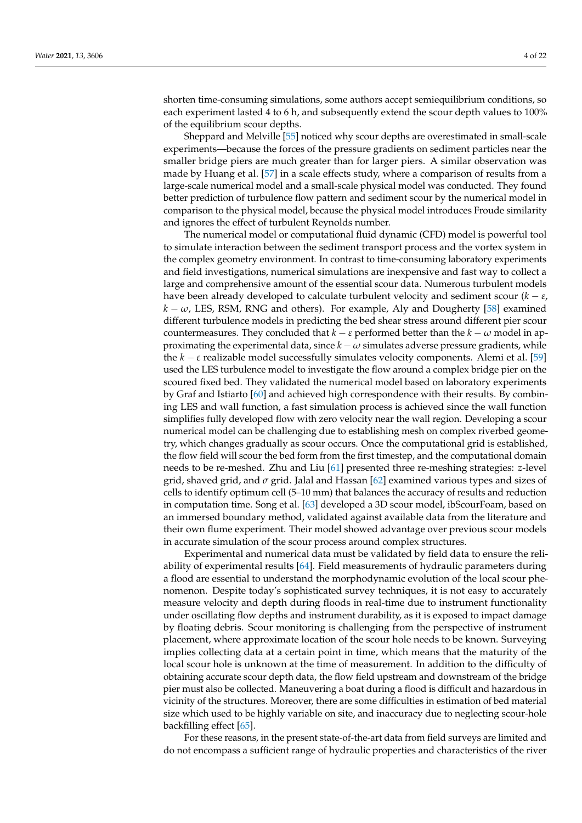shorten time-consuming simulations, some authors accept semiequilibrium conditions, so each experiment lasted 4 to 6 h, and subsequently extend the scour depth values to 100% of the equilibrium scour depths.

Sheppard and Melville [\[55\]](#page-18-25) noticed why scour depths are overestimated in small-scale experiments—because the forces of the pressure gradients on sediment particles near the smaller bridge piers are much greater than for larger piers. A similar observation was made by Huang et al. [\[57\]](#page-18-27) in a scale effects study, where a comparison of results from a large-scale numerical model and a small-scale physical model was conducted. They found better prediction of turbulence flow pattern and sediment scour by the numerical model in comparison to the physical model, because the physical model introduces Froude similarity and ignores the effect of turbulent Reynolds number.

The numerical model or computational fluid dynamic (CFD) model is powerful tool to simulate interaction between the sediment transport process and the vortex system in the complex geometry environment. In contrast to time-consuming laboratory experiments and field investigations, numerical simulations are inexpensive and fast way to collect a large and comprehensive amount of the essential scour data. Numerous turbulent models have been already developed to calculate turbulent velocity and sediment scour (*k* − *ε*,  $k - \omega$ , LES, RSM, RNG and others). For example, Aly and Dougherty [\[58\]](#page-18-28) examined different turbulence models in predicting the bed shear stress around different pier scour countermeasures. They concluded that  $k - \varepsilon$  performed better than the  $k - \omega$  model in approximating the experimental data, since  $k - \omega$  simulates adverse pressure gradients, while the  $k - \varepsilon$  realizable model successfully simulates velocity components. Alemi et al. [\[59\]](#page-19-0) used the LES turbulence model to investigate the flow around a complex bridge pier on the scoured fixed bed. They validated the numerical model based on laboratory experiments by Graf and Istiarto [\[60\]](#page-19-1) and achieved high correspondence with their results. By combining LES and wall function, a fast simulation process is achieved since the wall function simplifies fully developed flow with zero velocity near the wall region. Developing a scour numerical model can be challenging due to establishing mesh on complex riverbed geometry, which changes gradually as scour occurs. Once the computational grid is established, the flow field will scour the bed form from the first timestep, and the computational domain needs to be re-meshed. Zhu and Liu [\[61\]](#page-19-2) presented three re-meshing strategies: *z*-level grid, shaved grid, and *σ* grid. Jalal and Hassan [\[62\]](#page-19-3) examined various types and sizes of cells to identify optimum cell (5–10 mm) that balances the accuracy of results and reduction in computation time. Song et al. [\[63\]](#page-19-4) developed a 3D scour model, ibScourFoam, based on an immersed boundary method, validated against available data from the literature and their own flume experiment. Their model showed advantage over previous scour models in accurate simulation of the scour process around complex structures.

Experimental and numerical data must be validated by field data to ensure the reliability of experimental results [\[64\]](#page-19-5). Field measurements of hydraulic parameters during a flood are essential to understand the morphodynamic evolution of the local scour phenomenon. Despite today's sophisticated survey techniques, it is not easy to accurately measure velocity and depth during floods in real-time due to instrument functionality under oscillating flow depths and instrument durability, as it is exposed to impact damage by floating debris. Scour monitoring is challenging from the perspective of instrument placement, where approximate location of the scour hole needs to be known. Surveying implies collecting data at a certain point in time, which means that the maturity of the local scour hole is unknown at the time of measurement. In addition to the difficulty of obtaining accurate scour depth data, the flow field upstream and downstream of the bridge pier must also be collected. Maneuvering a boat during a flood is difficult and hazardous in vicinity of the structures. Moreover, there are some difficulties in estimation of bed material size which used to be highly variable on site, and inaccuracy due to neglecting scour-hole backfilling effect [\[65\]](#page-19-6).

For these reasons, in the present state-of-the-art data from field surveys are limited and do not encompass a sufficient range of hydraulic properties and characteristics of the river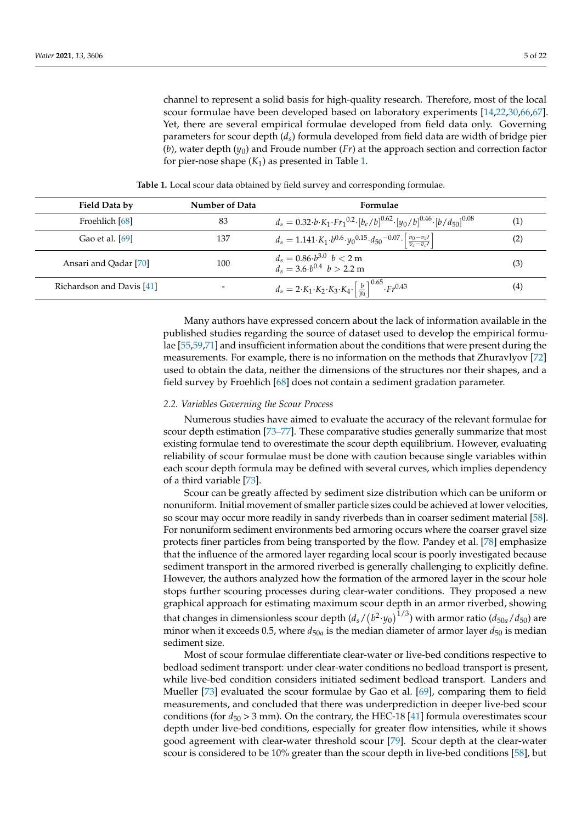channel to represent a solid basis for high-quality research. Therefore, most of the local scour formulae have been developed based on laboratory experiments [\[14,](#page-17-11)[22,](#page-17-19)[30,](#page-18-1)[66,](#page-19-7)[67\]](#page-19-8). Yet, there are several empirical formulae developed from field data only. Governing parameters for scour depth (*ds*) formula developed from field data are width of bridge pier (*b*), water depth (*y*0) and Froude number (*Fr*) at the approach section and correction factor for pier-nose shape  $(K_1)$  as presented in Table [1.](#page-4-0)

<span id="page-4-0"></span>

| Field Data by             | Number of Data           | Formulae                                                                                                                           |     |
|---------------------------|--------------------------|------------------------------------------------------------------------------------------------------------------------------------|-----|
| Froehlich [68]            | 83                       | $d_s = 0.32 \cdot b \cdot K_1 \cdot Fr_1^{0.2} \cdot [b_e/b]^{0.62} \cdot [y_0/b]^{0.46} \cdot [b/d_{50}]^{0.08}$                  | (1) |
| Gao et al. [69]           | 137                      | $d_s = 1.141 \cdot K_1 \cdot b^{0.6} \cdot y_0^{0.15} \cdot d_{50}^{-0.07} \cdot \left  \frac{v_0 - v_{c'}}{v_c - v_{c'}} \right $ | (2) |
| Ansari and Qadar [70]     | 100                      | $d_s = 0.86 \cdot b^{3.0}$ $b < 2$ m<br>$d_s = 3.6 \cdot b^{0.4}$ $b > 2.2$ m                                                      | (3) |
| Richardson and Davis [41] | $\overline{\phantom{0}}$ | $d_s = 2 \cdot K_1 \cdot K_2 \cdot K_3 \cdot K_4 \cdot \left[ \frac{b}{y_0} \right]^{0.65} \cdot Fr^{0.43}$                        | (4) |

**Table 1.** Local scour data obtained by field survey and corresponding formulae.

Many authors have expressed concern about the lack of information available in the published studies regarding the source of dataset used to develop the empirical formulae [\[55](#page-18-25)[,59](#page-19-0)[,71\]](#page-19-12) and insufficient information about the conditions that were present during the measurements. For example, there is no information on the methods that Zhuravlyov [\[72\]](#page-19-13) used to obtain the data, neither the dimensions of the structures nor their shapes, and a field survey by Froehlich [\[68\]](#page-19-9) does not contain a sediment gradation parameter.

### *2.2. Variables Governing the Scour Process*

Numerous studies have aimed to evaluate the accuracy of the relevant formulae for scour depth estimation [\[73–](#page-19-14)[77\]](#page-19-15). These comparative studies generally summarize that most existing formulae tend to overestimate the scour depth equilibrium. However, evaluating reliability of scour formulae must be done with caution because single variables within each scour depth formula may be defined with several curves, which implies dependency of a third variable [\[73\]](#page-19-14).

Scour can be greatly affected by sediment size distribution which can be uniform or nonuniform. Initial movement of smaller particle sizes could be achieved at lower velocities, so scour may occur more readily in sandy riverbeds than in coarser sediment material [\[58\]](#page-18-28). For nonuniform sediment environments bed armoring occurs where the coarser gravel size protects finer particles from being transported by the flow. Pandey et al. [\[78\]](#page-19-16) emphasize that the influence of the armored layer regarding local scour is poorly investigated because sediment transport in the armored riverbed is generally challenging to explicitly define. However, the authors analyzed how the formation of the armored layer in the scour hole stops further scouring processes during clear-water conditions. They proposed a new graphical approach for estimating maximum scour depth in an armor riverbed, showing that changes in dimensionless scour depth  $(d_s/(b^2 \cdot y_0)^{1/3})$  with armor ratio  $(d_{50a}/d_{50})$  are minor when it exceeds 0.5, where  $d_{50a}$  is the median diameter of armor layer  $d_{50}$  is median sediment size.

Most of scour formulae differentiate clear-water or live-bed conditions respective to bedload sediment transport: under clear-water conditions no bedload transport is present, while live-bed condition considers initiated sediment bedload transport. Landers and Mueller [\[73\]](#page-19-14) evaluated the scour formulae by Gao et al. [\[69\]](#page-19-10), comparing them to field measurements, and concluded that there was underprediction in deeper live-bed scour conditions (for  $d_{50} > 3$  mm). On the contrary, the HEC-18 [\[41\]](#page-18-11) formula overestimates scour depth under live-bed conditions, especially for greater flow intensities, while it shows good agreement with clear-water threshold scour [\[79\]](#page-19-17). Scour depth at the clear-water scour is considered to be 10% greater than the scour depth in live-bed conditions [\[58\]](#page-18-28), but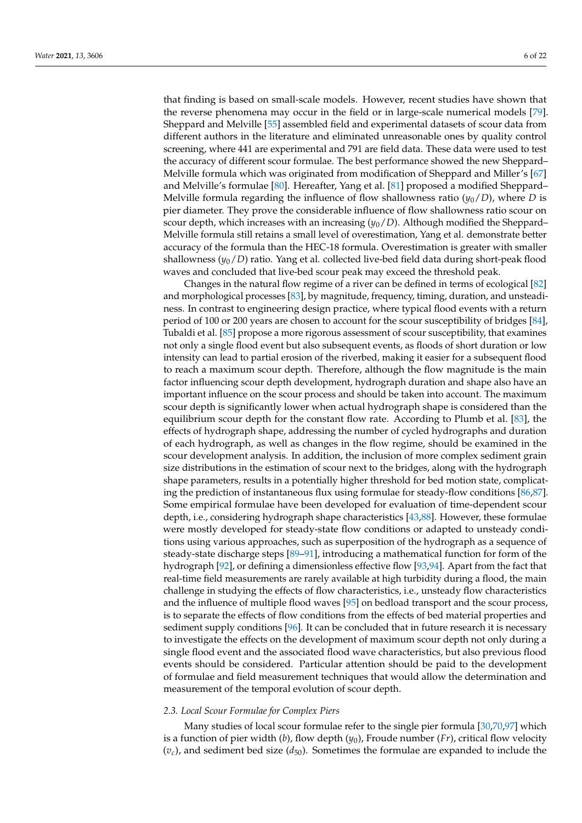that finding is based on small-scale models. However, recent studies have shown that the reverse phenomena may occur in the field or in large-scale numerical models [\[79\]](#page-19-17). Sheppard and Melville [\[55\]](#page-18-25) assembled field and experimental datasets of scour data from different authors in the literature and eliminated unreasonable ones by quality control screening, where 441 are experimental and 791 are field data. These data were used to test the accuracy of different scour formulae. The best performance showed the new Sheppard– Melville formula which was originated from modification of Sheppard and Miller's [\[67\]](#page-19-8) and Melville's formulae [\[80\]](#page-19-18). Hereafter, Yang et al. [\[81\]](#page-19-19) proposed a modified Sheppard– Melville formula regarding the influence of flow shallowness ratio  $(y_0/D)$ , where *D* is pier diameter. They prove the considerable influence of flow shallowness ratio scour on scour depth, which increases with an increasing  $(y_0/D)$ . Although modified the Sheppard– Melville formula still retains a small level of overestimation, Yang et al. demonstrate better accuracy of the formula than the HEC-18 formula. Overestimation is greater with smaller shallowness (*y*0/*D*) ratio. Yang et al. collected live-bed field data during short-peak flood waves and concluded that live-bed scour peak may exceed the threshold peak.

Changes in the natural flow regime of a river can be defined in terms of ecological [\[82\]](#page-19-20) and morphological processes [\[83\]](#page-19-21), by magnitude, frequency, timing, duration, and unsteadiness. In contrast to engineering design practice, where typical flood events with a return period of 100 or 200 years are chosen to account for the scour susceptibility of bridges [\[84\]](#page-19-22), Tubaldi et al. [\[85\]](#page-19-23) propose a more rigorous assessment of scour susceptibility, that examines not only a single flood event but also subsequent events, as floods of short duration or low intensity can lead to partial erosion of the riverbed, making it easier for a subsequent flood to reach a maximum scour depth. Therefore, although the flow magnitude is the main factor influencing scour depth development, hydrograph duration and shape also have an important influence on the scour process and should be taken into account. The maximum scour depth is significantly lower when actual hydrograph shape is considered than the equilibrium scour depth for the constant flow rate. According to Plumb et al. [\[83\]](#page-19-21), the effects of hydrograph shape, addressing the number of cycled hydrographs and duration of each hydrograph, as well as changes in the flow regime, should be examined in the scour development analysis. In addition, the inclusion of more complex sediment grain size distributions in the estimation of scour next to the bridges, along with the hydrograph shape parameters, results in a potentially higher threshold for bed motion state, complicating the prediction of instantaneous flux using formulae for steady-flow conditions [\[86](#page-19-24)[,87\]](#page-19-25). Some empirical formulae have been developed for evaluation of time-dependent scour depth, i.e., considering hydrograph shape characteristics [\[43,](#page-18-13)[88\]](#page-19-26). However, these formulae were mostly developed for steady-state flow conditions or adapted to unsteady conditions using various approaches, such as superposition of the hydrograph as a sequence of steady-state discharge steps [\[89–](#page-19-27)[91\]](#page-20-0), introducing a mathematical function for form of the hydrograph [\[92\]](#page-20-1), or defining a dimensionless effective flow [\[93,](#page-20-2)[94\]](#page-20-3). Apart from the fact that real-time field measurements are rarely available at high turbidity during a flood, the main challenge in studying the effects of flow characteristics, i.e., unsteady flow characteristics and the influence of multiple flood waves [\[95\]](#page-20-4) on bedload transport and the scour process, is to separate the effects of flow conditions from the effects of bed material properties and sediment supply conditions [\[96\]](#page-20-5). It can be concluded that in future research it is necessary to investigate the effects on the development of maximum scour depth not only during a single flood event and the associated flood wave characteristics, but also previous flood events should be considered. Particular attention should be paid to the development of formulae and field measurement techniques that would allow the determination and measurement of the temporal evolution of scour depth.

## *2.3. Local Scour Formulae for Complex Piers*

Many studies of local scour formulae refer to the single pier formula [\[30,](#page-18-1)[70,](#page-19-11)[97\]](#page-20-6) which is a function of pier width (*b*), flow depth (*y*0), Froude number (*Fr*), critical flow velocity  $(v_c)$ , and sediment bed size  $(d_{50})$ . Sometimes the formulae are expanded to include the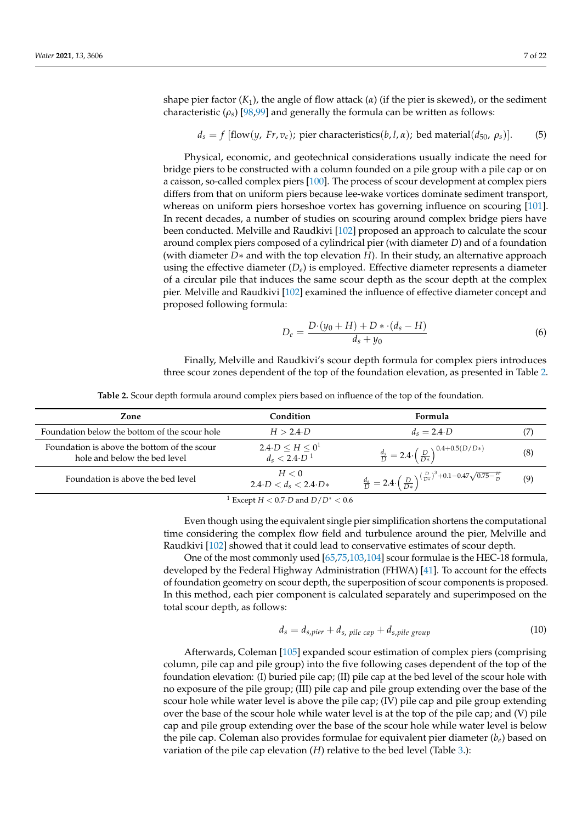shape pier factor  $(K_1)$ , the angle of flow attack  $(\alpha)$  (if the pier is skewed), or the sediment characteristic  $(\rho_s)$  [\[98,](#page-20-7)[99\]](#page-20-8) and generally the formula can be written as follows:

$$
d_s = f
$$
 [flow(*y*, Fr, *v<sub>c</sub>*); pier characteristics(*b*, l,  $\alpha$ ); bed material( $d_{50}$ ,  $\rho_s$ )]. (5)

Physical, economic, and geotechnical considerations usually indicate the need for bridge piers to be constructed with a column founded on a pile group with a pile cap or on a caisson, so-called complex piers [\[100\]](#page-20-9). The process of scour development at complex piers differs from that on uniform piers because lee-wake vortices dominate sediment transport, whereas on uniform piers horseshoe vortex has governing influence on scouring [\[101\]](#page-20-10). In recent decades, a number of studies on scouring around complex bridge piers have been conducted. Melville and Raudkivi [\[102\]](#page-20-11) proposed an approach to calculate the scour around complex piers composed of a cylindrical pier (with diameter *D*) and of a foundation (with diameter *D*∗ and with the top elevation *H*). In their study, an alternative approach using the effective diameter  $(D_e)$  is employed. Effective diameter represents a diameter of a circular pile that induces the same scour depth as the scour depth at the complex pier. Melville and Raudkivi [\[102\]](#page-20-11) examined the influence of effective diameter concept and proposed following formula:

$$
D_e = \frac{D \cdot (y_0 + H) + D \cdot (d_s - H)}{d_s + y_0} \tag{6}
$$

Finally, Melville and Raudkivi's scour depth formula for complex piers introduces three scour zones dependent of the top of the foundation elevation, as presented in Table [2.](#page-6-0)

**Table 2.** Scour depth formula around complex piers based on influence of the top of the foundation.

<span id="page-6-0"></span>

| Zone                                                                        | Condition                                                    | Formula                                                                                                         |     |
|-----------------------------------------------------------------------------|--------------------------------------------------------------|-----------------------------------------------------------------------------------------------------------------|-----|
| Foundation below the bottom of the scour hole                               | $H > 2.4 \cdot D$                                            | $d_s = 2.4 \cdot D$                                                                                             | (7) |
| Foundation is above the bottom of the scour<br>hole and below the bed level | $2.4 \cdot D \leq H \leq 0^1$<br>$d_s < 2.4 \cdot D^{-1}$    | $\frac{d_s}{D} = 2.4 \cdot \left(\frac{D}{D*}\right)^{0.4+0.5(D/D*)}$                                           | (8) |
| Foundation is above the bed level                                           | H < 0<br>$2.4 \cdot D < d_s < 2.4 \cdot D*$                  | $\frac{d_s}{D}=2.4\cdot\left(\frac{D}{D*}\right)^{\left(\frac{D}{D*}\right)^3+0.1-0.47\sqrt{0.75-\frac{H}{D}}}$ | (9) |
|                                                                             | $\Gamma_{\text{V220m1}}$ $H \neq 0.7$ D and $D/D^* \neq 0.6$ |                                                                                                                 |     |

*Except H* < 0.7⋅*D* and *D*/*D*<sup>∗</sup> < 0.6

Even though using the equivalent single pier simplification shortens the computational time considering the complex flow field and turbulence around the pier, Melville and Raudkivi [\[102\]](#page-20-11) showed that it could lead to conservative estimates of scour depth.

One of the most commonly used [\[65](#page-19-6)[,75,](#page-19-28)[103,](#page-20-12)[104\]](#page-20-13) scour formulae is the HEC-18 formula, developed by the Federal Highway Administration (FHWA) [\[41\]](#page-18-11). To account for the effects of foundation geometry on scour depth, the superposition of scour components is proposed. In this method, each pier component is calculated separately and superimposed on the total scour depth, as follows:

$$
d_s = d_{s, pier} + d_{s, pile \ cap} + d_{s, pile \ group}
$$
\n
$$
(10)
$$

Afterwards, Coleman [\[105\]](#page-20-14) expanded scour estimation of complex piers (comprising column, pile cap and pile group) into the five following cases dependent of the top of the foundation elevation: (I) buried pile cap; (II) pile cap at the bed level of the scour hole with no exposure of the pile group; (III) pile cap and pile group extending over the base of the scour hole while water level is above the pile cap; (IV) pile cap and pile group extending over the base of the scour hole while water level is at the top of the pile cap; and (V) pile cap and pile group extending over the base of the scour hole while water level is below the pile cap. Coleman also provides formulae for equivalent pier diameter (*be*) based on variation of the pile cap elevation (*H*) relative to the bed level (Table [3.](#page-7-0)):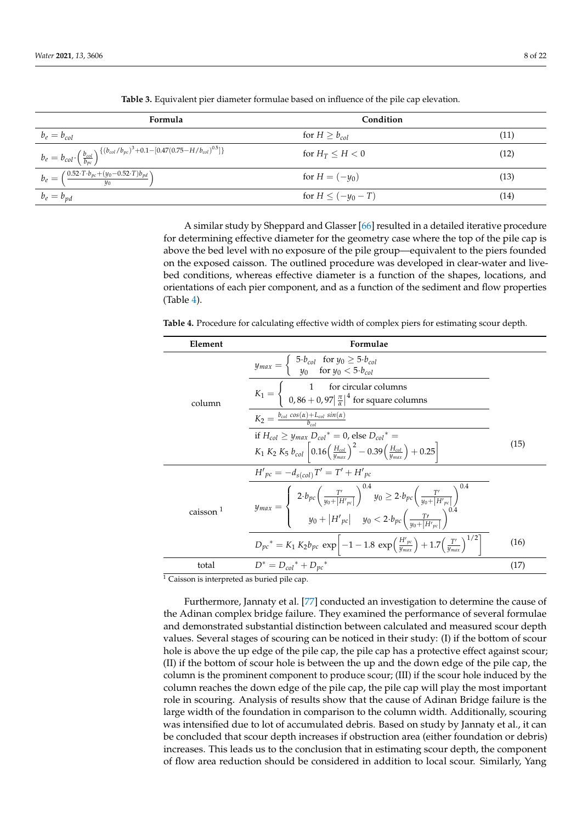<span id="page-7-0"></span>

| Formula                                                                                                                                    | Condition               |      |
|--------------------------------------------------------------------------------------------------------------------------------------------|-------------------------|------|
| $b_e = b_{col}$                                                                                                                            | for $H > b_{col}$       | (11) |
| $b_e = b_{col} \cdot \left(\frac{b_{col}}{b_{pc}}\right)^{\left\{(b_{col}/b_{pc}\right)^3 + 0.1 - [0.47(0.75 - H/b_{col})^{0.5}]\right\}}$ | for $H_T \leq H \leq 0$ | (12) |
| $b_e = \left(\frac{0.52 \cdot T \cdot b_{pc} + (y_0 - 0.52 \cdot T) b_{pd}}{y_0}\right)$                                                   | for $H = (-y_0)$        | (13) |
| $b_e = b_{pd}$                                                                                                                             | for $H \leq (-y_0 - T)$ | (14) |

**Table 3.** Equivalent pier diameter formulae based on influence of the pile cap elevation.

A similar study by Sheppard and Glasser [\[66\]](#page-19-7) resulted in a detailed iterative procedure for determining effective diameter for the geometry case where the top of the pile cap is above the bed level with no exposure of the pile group—equivalent to the piers founded on the exposed caisson. The outlined procedure was developed in clear-water and livebed conditions, whereas effective diameter is a function of the shapes, locations, and orientations of each pier component, and as a function of the sediment and flow properties (Table [4\)](#page-7-1).

<span id="page-7-1"></span>**Table 4.** Procedure for calculating effective width of complex piers for estimating scour depth.

| Element              | Formulae                                                                                                                                                                                                                                                              |      |
|----------------------|-----------------------------------------------------------------------------------------------------------------------------------------------------------------------------------------------------------------------------------------------------------------------|------|
|                      | $y_{max} = \begin{cases} 5 \cdot b_{col} & \text{for } y_0 \ge 5 \cdot b_{col} \\ y_0 & \text{for } y_0 < 5 \cdot b_{col} \end{cases}$                                                                                                                                |      |
| column               | $K_1 = \begin{cases} 1 & \text{for circular columns} \\ 0,86 + 0,97 \left  \frac{\pi}{\alpha} \right ^4 \text{ for square columns} \end{cases}$                                                                                                                       |      |
|                      | $K_2 = \frac{b_{col} \cos(\alpha) + L_{col} \sin(\alpha)}{b_{col}}$                                                                                                                                                                                                   |      |
|                      | if $H_{col} \ge y_{max} D_{col}^* = 0$ , else $D_{col}^* =$                                                                                                                                                                                                           |      |
|                      | $K_1 K_2 K_5 b_{col} \left[ 0.16 \left( \frac{H_{col}}{y_{max}} \right)^2 - 0.39 \left( \frac{H_{col}}{y_{max}} \right) + 0.25 \right]$                                                                                                                               | (15) |
|                      | $H'_{pc} = -d_{s(col)}T' = T' + H'_{pc}$                                                                                                                                                                                                                              |      |
| caisson <sup>1</sup> | $y_{max} = \begin{cases} 2 \cdot b_{pc} \left( \frac{T'}{y_0 +  H'_{pc} } \right)^{0.4} y_0 \ge 2 \cdot b_{pc} \left( \frac{T'}{y_0 +  H'_{pc} } \right)^{0.4} \\ y_0 +  H'_{pc}  & y_0 < 2 \cdot b_{pc} \left( \frac{T'}{y_0 +  H'_{pc} } \right)^{0.4} \end{cases}$ |      |
|                      | $D_{pc}^{*} = K_1 K_2 b_{pc} \exp \left[-1 - 1.8 \exp \left(\frac{H'_{pc}}{y_{max}}\right) + 1.7 \left(\frac{T'}{y_{max}}\right)^{1/2}\right]$                                                                                                                        | (16) |
| total                | $D^* = D_{col}^* + D_{pc}^*$                                                                                                                                                                                                                                          | (17) |

 $\frac{1}{1}$  Caisson is interpreted as buried pile cap.

Furthermore, Jannaty et al. [\[77\]](#page-19-15) conducted an investigation to determine the cause of the Adinan complex bridge failure. They examined the performance of several formulae and demonstrated substantial distinction between calculated and measured scour depth values. Several stages of scouring can be noticed in their study: (I) if the bottom of scour hole is above the up edge of the pile cap, the pile cap has a protective effect against scour; (II) if the bottom of scour hole is between the up and the down edge of the pile cap, the column is the prominent component to produce scour; (III) if the scour hole induced by the column reaches the down edge of the pile cap, the pile cap will play the most important role in scouring. Analysis of results show that the cause of Adinan Bridge failure is the large width of the foundation in comparison to the column width. Additionally, scouring was intensified due to lot of accumulated debris. Based on study by Jannaty et al., it can be concluded that scour depth increases if obstruction area (either foundation or debris) increases. This leads us to the conclusion that in estimating scour depth, the component of flow area reduction should be considered in addition to local scour. Similarly, Yang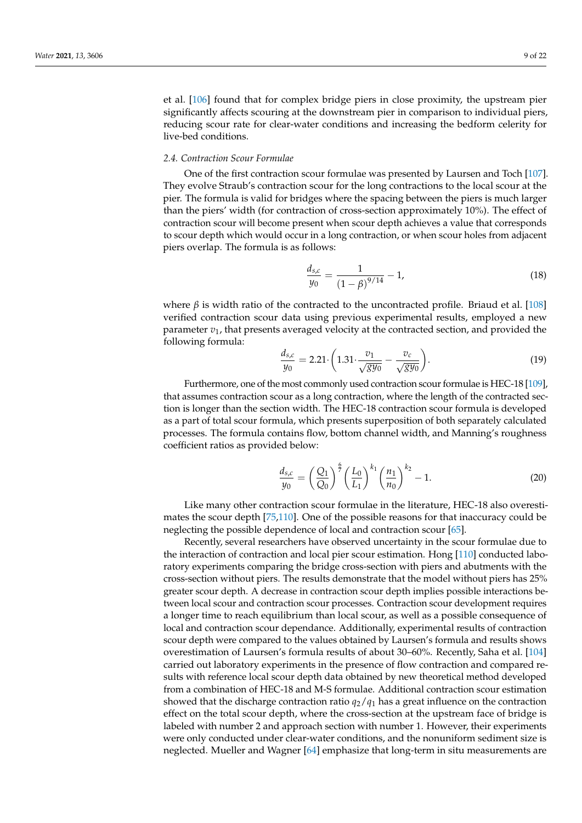et al. [\[106\]](#page-20-15) found that for complex bridge piers in close proximity, the upstream pier significantly affects scouring at the downstream pier in comparison to individual piers, reducing scour rate for clear-water conditions and increasing the bedform celerity for live-bed conditions.

#### *2.4. Contraction Scour Formulae*

One of the first contraction scour formulae was presented by Laursen and Toch [\[107\]](#page-20-16). They evolve Straub's contraction scour for the long contractions to the local scour at the pier. The formula is valid for bridges where the spacing between the piers is much larger than the piers' width (for contraction of cross-section approximately 10%). The effect of contraction scour will become present when scour depth achieves a value that corresponds to scour depth which would occur in a long contraction, or when scour holes from adjacent piers overlap. The formula is as follows:

$$
\frac{d_{s,c}}{y_0} = \frac{1}{\left(1 - \beta\right)^{9/14}} - 1,\tag{18}
$$

where  $\beta$  is width ratio of the contracted to the uncontracted profile. Briaud et al. [\[108\]](#page-20-17) verified contraction scour data using previous experimental results, employed a new parameter  $v_1$ , that presents averaged velocity at the contracted section, and provided the following formula:

$$
\frac{d_{s,c}}{y_0} = 2.21 \cdot \left( 1.31 \cdot \frac{v_1}{\sqrt{gy_0}} - \frac{v_c}{\sqrt{gy_0}} \right). \tag{19}
$$

Furthermore, one of the most commonly used contraction scour formulae is HEC-18 [\[109\]](#page-20-18), that assumes contraction scour as a long contraction, where the length of the contracted section is longer than the section width. The HEC-18 contraction scour formula is developed as a part of total scour formula, which presents superposition of both separately calculated processes. The formula contains flow, bottom channel width, and Manning's roughness coefficient ratios as provided below:

$$
\frac{d_{s,c}}{y_0} = \left(\frac{Q_1}{Q_0}\right)^{\frac{6}{2}} \left(\frac{L_0}{L_1}\right)^{k_1} \left(\frac{n_1}{n_0}\right)^{k_2} - 1.
$$
\n(20)

Like many other contraction scour formulae in the literature, HEC-18 also overestimates the scour depth [\[75](#page-19-28)[,110\]](#page-20-19). One of the possible reasons for that inaccuracy could be neglecting the possible dependence of local and contraction scour [\[65\]](#page-19-6).

Recently, several researchers have observed uncertainty in the scour formulae due to the interaction of contraction and local pier scour estimation. Hong [\[110\]](#page-20-19) conducted laboratory experiments comparing the bridge cross-section with piers and abutments with the cross-section without piers. The results demonstrate that the model without piers has 25% greater scour depth. A decrease in contraction scour depth implies possible interactions between local scour and contraction scour processes. Contraction scour development requires a longer time to reach equilibrium than local scour, as well as a possible consequence of local and contraction scour dependance. Additionally, experimental results of contraction scour depth were compared to the values obtained by Laursen's formula and results shows overestimation of Laursen's formula results of about 30–60%. Recently, Saha et al. [\[104\]](#page-20-13) carried out laboratory experiments in the presence of flow contraction and compared results with reference local scour depth data obtained by new theoretical method developed from a combination of HEC-18 and M-S formulae. Additional contraction scour estimation showed that the discharge contraction ratio  $q_2/q_1$  has a great influence on the contraction effect on the total scour depth, where the cross-section at the upstream face of bridge is labeled with number 2 and approach section with number 1. However, their experiments were only conducted under clear-water conditions, and the nonuniform sediment size is neglected. Mueller and Wagner [\[64\]](#page-19-5) emphasize that long-term in situ measurements are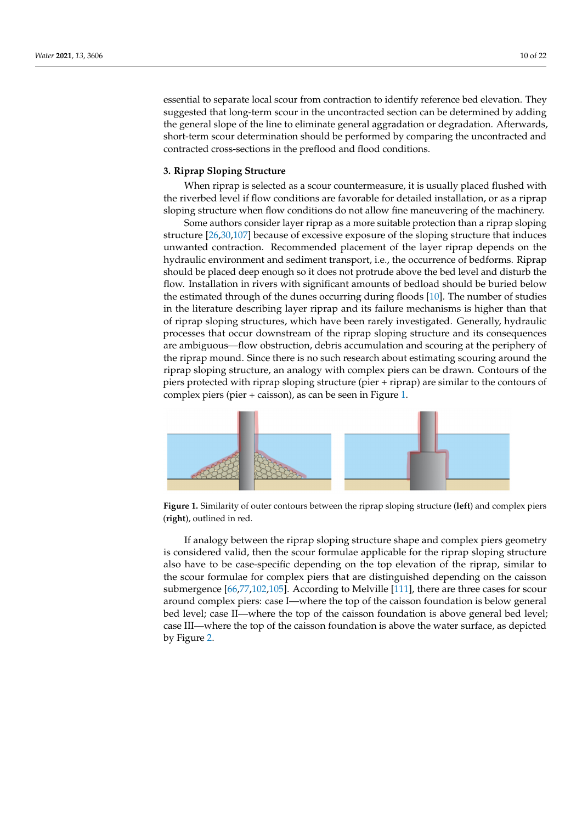essential to separate local scour from contraction to identify reference bed elevation. They suggested that long-term scour in the uncontracted section can be determined by adding the general slope of the line to eliminate general aggradation or degradation. Afterwards, short-term scour determination should be performed by comparing the uncontracted and contracted cross-sections in the preflood and flood conditions.

## **3. Riprap Sloping Structure**

When riprap is selected as a scour countermeasure, it is usually placed flushed with the riverbed level if flow conditions are favorable for detailed installation, or as a riprap sloping structure when flow conditions do not allow fine maneuvering of the machinery.

Some authors consider layer riprap as a more suitable protection than a riprap sloping structure [\[26,](#page-17-23)[30,](#page-18-1)[107\]](#page-20-16) because of excessive exposure of the sloping structure that induces unwanted contraction. Recommended placement of the layer riprap depends on the hydraulic environment and sediment transport, i.e., the occurrence of bedforms. Riprap should be placed deep enough so it does not protrude above the bed level and disturb the flow. Installation in rivers with significant amounts of bedload should be buried below the estimated through of the dunes occurring during floods [\[10\]](#page-17-26). The number of studies in the literature describing layer riprap and its failure mechanisms is higher than that of riprap sloping structures, which have been rarely investigated. Generally, hydraulic processes that occur downstream of the riprap sloping structure and its consequences are ambiguous—flow obstruction, debris accumulation and scouring at the periphery of the riprap mound. Since there is no such research about estimating scouring around the riprap sloping structure, an analogy with complex piers can be drawn. Contours of the piers protected with riprap sloping structure (pier + riprap) are similar to the contours of complex piers (pier + caisson), as can be seen in Figure [1.](#page-9-0)

<span id="page-9-0"></span>

Figure 1. Similarity of outer contours between the riprap sloping structure (left) and complex piers (**right**), outlined in red. (**right**), outlined in red.

If analogy between the riprap sloping structure shape and complex piers geometry If analogy between the riprap sloping structure shape and complex piers geometry is considered valid, then the scour formulae applicable for the riprap sloping structure is considered valid, then the scour formulae applicable for the riprap sloping structure also have to be case-specific depending on the top elevation of the riprap, similar to the also have to be case-specific depending on the top elevation of the riprap, similar to the scour formulae for complex piers that are distinguished depending on the caisson submergence [\[66,](#page-19-7)[77,](#page-19-15)[102,](#page-20-11)[105\]](#page-20-14). According to Melville [\[111\]](#page-20-20), there are three cases for scour around complex piers: case I—where the top of the caisson foundation is below general and the top of the caisson foundation is below general bed level; case II—where the top of the caisson foundation is above general bed level;<br>III and the top of the caisson foundation is above general bed level; case III—where the top of the caisson foundation is above the water surface, as depicted  $\ln \Gamma$ by Figure [2.](#page-10-0)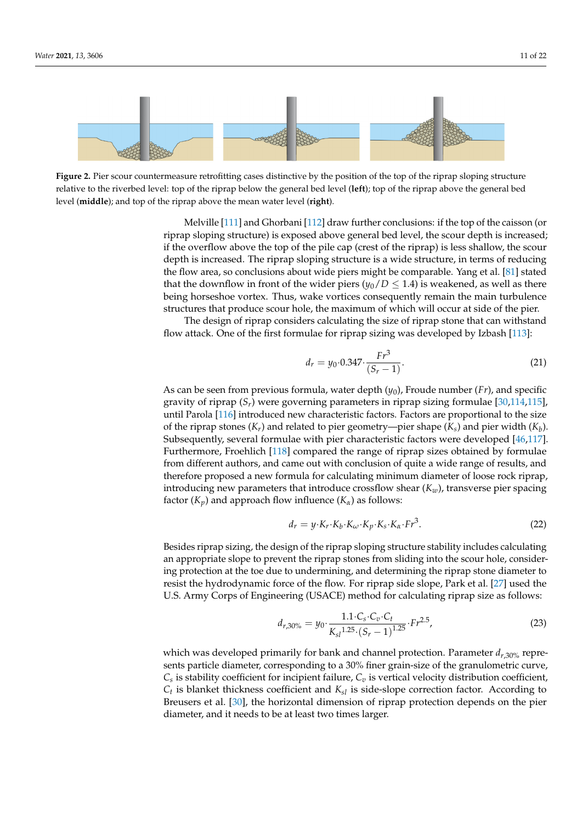<span id="page-10-0"></span>



Melville [111] and Ghorbani [112] draw further conclusions: if the top of the caisson Melville [\[111\]](#page-20-20) and Ghorbani [\[112\]](#page-20-21) draw further conclusions: if the top of the caisson (or if the overflow above the top of the pile cap (crest of the riprap) is less shallow, the scour if the overflow above the top of the pile cap (crest of the riprap) is less shallow, the scour depth is increased. The riprap sloping structure is a wide structure, in terms of reducing depth is increased. the flow area, so conclusions about wide piers might be comparable. Yang et al. [\[81\]](#page-19-19) stated that the downflow in front of the wider piers ( $y_0/D \le 1.4$ ) is weakened, as well as there being horseshoe vortex. Thus, wake vortices consequently remain the main turbulence structures that produce scour hole, the maximum of which will occur at side of the pier. riprap sloping structure) is exposed above general bed level, the scour depth is increased;

The design of riprap considers calculating the size of riprap stone that can withstand flow attack. One of the first formulae for riprap sizing was developed by Izbash [\[113\]](#page-20-22):

$$
d_r = y_0 \cdot 0.347 \cdot \frac{Fr^3}{(S_r - 1)}.\tag{21}
$$

hula, water depth As can be seen from previous formula, water depth ( $y_0$ ), Froude number (*Fr*), and specific As can be seen from previous formula, water depth (y<sub>0</sub>), Froude number (*Fr*), and specific<br>gravity of riprap (S<sub>*r*</sub>) were governing parameters in riprap sizing formulae [\[30,](#page-18-1)[114,](#page-20-23)[115\]](#page-20-24), until Parola [\[116\]](#page-20-25) introduced new characteristic factors. Factors are proportional to the size<br>of the given atoms (K) and splated to give assume two given bere (K) and given width (K) Subsequently, several formulae with pier characteristic factors were developed [\[46,](#page-18-16)[117\]](#page-20-26). Furthermore, Froehlich [\[118\]](#page-20-27) compared the range of riprap sizes obtained by formulae from different authors, and came out with conclusion of quite a wide range of results, and therefore proposed a new formula for calculating minimum diameter of loose rock riprap, introducing new parameters that introduce crossflow shear  $(K_w)$ , transverse pier spacing factor  $(K_p)$  and approach flow influence  $(K_\alpha)$  as follows: of the riprap stones (*Kr*) and related to pier geometry—pier shape (*Ks*) and pier width (*K<sup>b</sup>* ).

$$
d_r = y \cdot K_r \cdot K_b \cdot K_\omega \cdot K_p \cdot K_s \cdot K_\alpha \cdot Fr^3. \tag{22}
$$

Besides riprap sizing, the design of the riprap sloping structure stability includes calculating an appropriate slope to prevent the riprap stones from sliding into the scour hole, considering protection at the toe due to undermining, and determining the riprap stone diameter to resist the hydrodynamic force of the flow. For riprap side slope, Park et al. [\[27\]](#page-17-24) used the U.S. Army Corps of Engineering (USACE) method for calculating riprap size as follows:

$$
d_{r,30\%} = y_0 \cdot \frac{1.1 \cdot C_s \cdot C_v \cdot C_t}{K_{sl} 1.25 \cdot (S_r - 1)^{1.25}} \cdot Fr^{2.5},\tag{23}
$$

which was developed primarily for bank and channel protection. Parameter *dr*,30% represents particle diameter, corresponding to a 30% finer grain-size of the granulometric curve,  $C_s$  is stability coefficient for incipient failure,  $C_v$  is vertical velocity distribution coefficient, *Ct* is blanket thickness coefficient and *Ksl* is side-slope correction factor. According to Breusers et al. [\[30\]](#page-18-1), the horizontal dimension of riprap protection depends on the pier diameter, and it needs to be at least two times larger.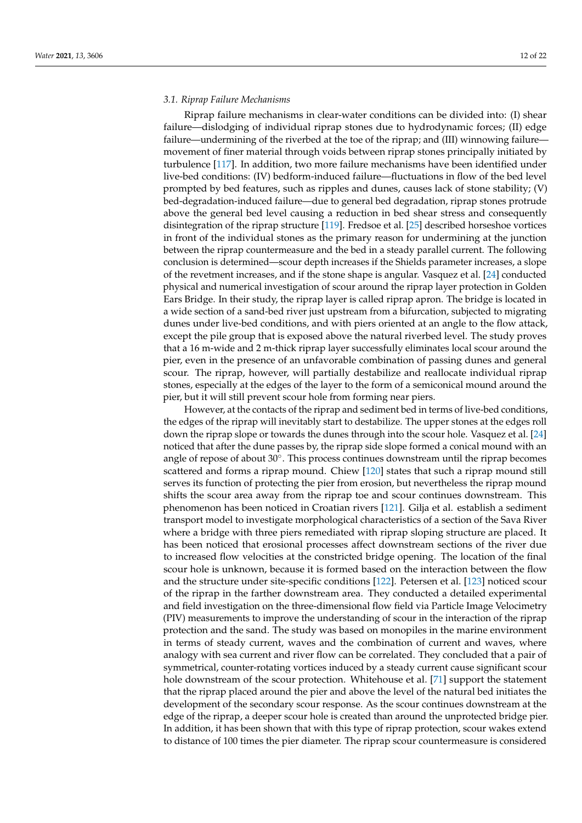#### *3.1. Riprap Failure Mechanisms*

Riprap failure mechanisms in clear-water conditions can be divided into: (I) shear failure—dislodging of individual riprap stones due to hydrodynamic forces; (II) edge failure—undermining of the riverbed at the toe of the riprap; and (III) winnowing failure movement of finer material through voids between riprap stones principally initiated by turbulence [\[117\]](#page-20-26). In addition, two more failure mechanisms have been identified under live-bed conditions: (IV) bedform-induced failure—fluctuations in flow of the bed level prompted by bed features, such as ripples and dunes, causes lack of stone stability; (V) bed-degradation-induced failure—due to general bed degradation, riprap stones protrude above the general bed level causing a reduction in bed shear stress and consequently disintegration of the riprap structure [\[119\]](#page-20-28). Fredsoe et al. [\[25\]](#page-17-22) described horseshoe vortices in front of the individual stones as the primary reason for undermining at the junction between the riprap countermeasure and the bed in a steady parallel current. The following conclusion is determined—scour depth increases if the Shields parameter increases, a slope of the revetment increases, and if the stone shape is angular. Vasquez et al. [\[24\]](#page-17-21) conducted physical and numerical investigation of scour around the riprap layer protection in Golden Ears Bridge. In their study, the riprap layer is called riprap apron. The bridge is located in a wide section of a sand-bed river just upstream from a bifurcation, subjected to migrating dunes under live-bed conditions, and with piers oriented at an angle to the flow attack, except the pile group that is exposed above the natural riverbed level. The study proves that a 16 m-wide and 2 m-thick riprap layer successfully eliminates local scour around the pier, even in the presence of an unfavorable combination of passing dunes and general scour. The riprap, however, will partially destabilize and reallocate individual riprap stones, especially at the edges of the layer to the form of a semiconical mound around the pier, but it will still prevent scour hole from forming near piers.

However, at the contacts of the riprap and sediment bed in terms of live-bed conditions, the edges of the riprap will inevitably start to destabilize. The upper stones at the edges roll down the riprap slope or towards the dunes through into the scour hole. Vasquez et al. [\[24\]](#page-17-21) noticed that after the dune passes by, the riprap side slope formed a conical mound with an angle of repose of about  $30^\circ$ . This process continues downstream until the riprap becomes scattered and forms a riprap mound. Chiew [\[120\]](#page-20-29) states that such a riprap mound still serves its function of protecting the pier from erosion, but nevertheless the riprap mound shifts the scour area away from the riprap toe and scour continues downstream. This phenomenon has been noticed in Croatian rivers [\[121\]](#page-20-30). Gilja et al. establish a sediment transport model to investigate morphological characteristics of a section of the Sava River where a bridge with three piers remediated with riprap sloping structure are placed. It has been noticed that erosional processes affect downstream sections of the river due to increased flow velocities at the constricted bridge opening. The location of the final scour hole is unknown, because it is formed based on the interaction between the flow and the structure under site-specific conditions [\[122\]](#page-20-31). Petersen et al. [\[123\]](#page-20-32) noticed scour of the riprap in the farther downstream area. They conducted a detailed experimental and field investigation on the three-dimensional flow field via Particle Image Velocimetry (PIV) measurements to improve the understanding of scour in the interaction of the riprap protection and the sand. The study was based on monopiles in the marine environment in terms of steady current, waves and the combination of current and waves, where analogy with sea current and river flow can be correlated. They concluded that a pair of symmetrical, counter-rotating vortices induced by a steady current cause significant scour hole downstream of the scour protection. Whitehouse et al. [\[71\]](#page-19-12) support the statement that the riprap placed around the pier and above the level of the natural bed initiates the development of the secondary scour response. As the scour continues downstream at the edge of the riprap, a deeper scour hole is created than around the unprotected bridge pier. In addition, it has been shown that with this type of riprap protection, scour wakes extend to distance of 100 times the pier diameter. The riprap scour countermeasure is considered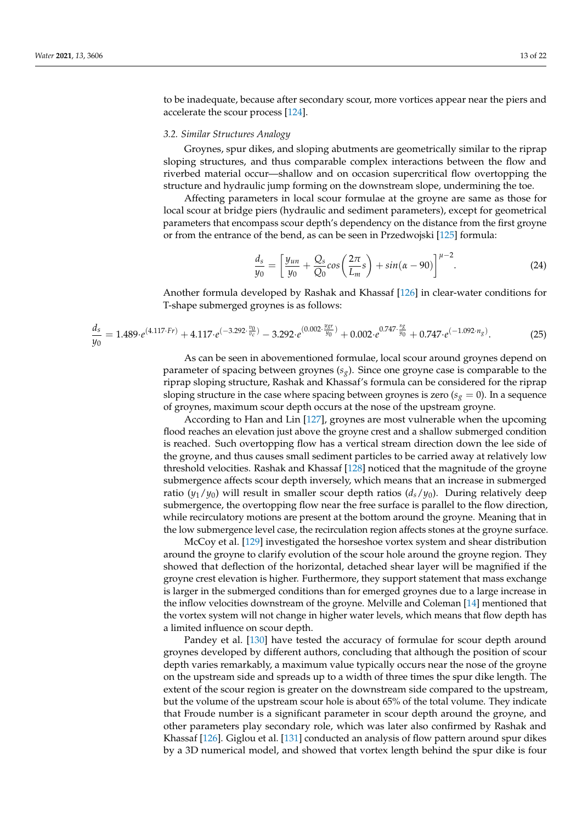to be inadequate, because after secondary scour, more vortices appear near the piers and accelerate the scour process [\[124\]](#page-20-33).

## *3.2. Similar Structures Analogy*

Groynes, spur dikes, and sloping abutments are geometrically similar to the riprap sloping structures, and thus comparable complex interactions between the flow and riverbed material occur—shallow and on occasion supercritical flow overtopping the structure and hydraulic jump forming on the downstream slope, undermining the toe.

Affecting parameters in local scour formulae at the groyne are same as those for local scour at bridge piers (hydraulic and sediment parameters), except for geometrical parameters that encompass scour depth's dependency on the distance from the first groyne or from the entrance of the bend, as can be seen in Przedwojski [\[125\]](#page-20-34) formula:

$$
\frac{d_s}{y_0} = \left[\frac{y_{un}}{y_0} + \frac{Q_s}{Q_0}cos\left(\frac{2\pi}{L_m}s\right) + sin(\alpha - 90)\right]^{\mu - 2}.\tag{24}
$$

Another formula developed by Rashak and Khassaf [\[126\]](#page-21-0) in clear-water conditions for T-shape submerged groynes is as follows:

$$
\frac{d_s}{y_0} = 1.489 \cdot e^{(4.117 \cdot Fr)} + 4.117 \cdot e^{(-3.292 \cdot \frac{v_0}{v_c})} - 3.292 \cdot e^{(0.002 \cdot \frac{y_{gr}}{y_0})} + 0.002 \cdot e^{0.747 \cdot \frac{s_g}{y_0}} + 0.747 \cdot e^{(-1.092 \cdot n_g)}.
$$
(25)

As can be seen in abovementioned formulae, local scour around groynes depend on parameter of spacing between groynes (*sg*). Since one groyne case is comparable to the riprap sloping structure, Rashak and Khassaf's formula can be considered for the riprap sloping structure in the case where spacing between groynes is zero ( $s_g = 0$ ). In a sequence of groynes, maximum scour depth occurs at the nose of the upstream groyne.

According to Han and Lin [\[127\]](#page-21-1), groynes are most vulnerable when the upcoming flood reaches an elevation just above the groyne crest and a shallow submerged condition is reached. Such overtopping flow has a vertical stream direction down the lee side of the groyne, and thus causes small sediment particles to be carried away at relatively low threshold velocities. Rashak and Khassaf [\[128\]](#page-21-2) noticed that the magnitude of the groyne submergence affects scour depth inversely, which means that an increase in submerged ratio  $(y_1/y_0)$  will result in smaller scour depth ratios  $(d_s/y_0)$ . During relatively deep submergence, the overtopping flow near the free surface is parallel to the flow direction, while recirculatory motions are present at the bottom around the groyne. Meaning that in the low submergence level case, the recirculation region affects stones at the groyne surface.

McCoy et al. [\[129\]](#page-21-3) investigated the horseshoe vortex system and shear distribution around the groyne to clarify evolution of the scour hole around the groyne region. They showed that deflection of the horizontal, detached shear layer will be magnified if the groyne crest elevation is higher. Furthermore, they support statement that mass exchange is larger in the submerged conditions than for emerged groynes due to a large increase in the inflow velocities downstream of the groyne. Melville and Coleman [\[14\]](#page-17-11) mentioned that the vortex system will not change in higher water levels, which means that flow depth has a limited influence on scour depth.

Pandey et al. [\[130\]](#page-21-4) have tested the accuracy of formulae for scour depth around groynes developed by different authors, concluding that although the position of scour depth varies remarkably, a maximum value typically occurs near the nose of the groyne on the upstream side and spreads up to a width of three times the spur dike length. The extent of the scour region is greater on the downstream side compared to the upstream, but the volume of the upstream scour hole is about 65% of the total volume. They indicate that Froude number is a significant parameter in scour depth around the groyne, and other parameters play secondary role, which was later also confirmed by Rashak and Khassaf [\[126\]](#page-21-0). Giglou et al. [\[131\]](#page-21-5) conducted an analysis of flow pattern around spur dikes by a 3D numerical model, and showed that vortex length behind the spur dike is four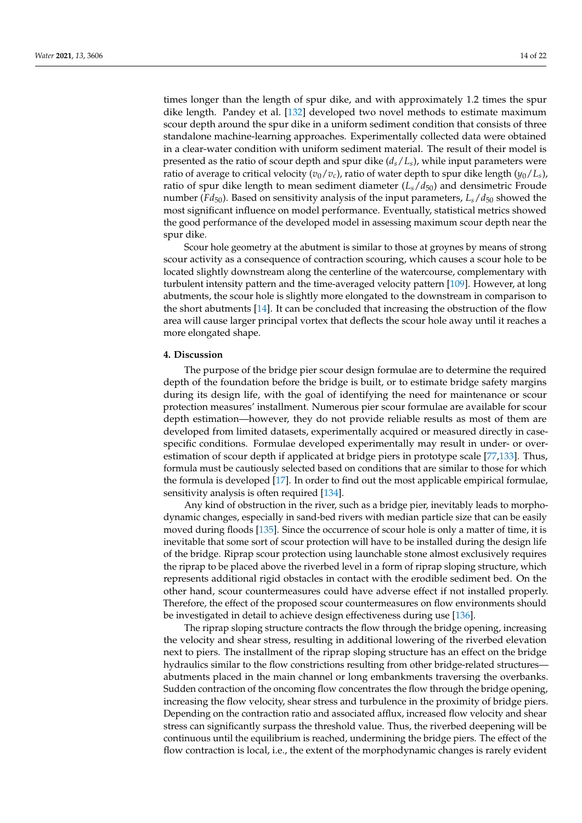times longer than the length of spur dike, and with approximately 1.2 times the spur dike length. Pandey et al. [\[132\]](#page-21-6) developed two novel methods to estimate maximum scour depth around the spur dike in a uniform sediment condition that consists of three standalone machine-learning approaches. Experimentally collected data were obtained in a clear-water condition with uniform sediment material. The result of their model is presented as the ratio of scour depth and spur dike (*ds*/*Ls*), while input parameters were ratio of average to critical velocity  $(v_0/v_c)$ , ratio of water depth to spur dike length  $(y_0/L_s)$ , ratio of spur dike length to mean sediment diameter  $(L_s/d_{50})$  and densimetric Froude number ( $Fd_{50}$ ). Based on sensitivity analysis of the input parameters,  $L_s/d_{50}$  showed the most significant influence on model performance. Eventually, statistical metrics showed the good performance of the developed model in assessing maximum scour depth near the spur dike.

Scour hole geometry at the abutment is similar to those at groynes by means of strong scour activity as a consequence of contraction scouring, which causes a scour hole to be located slightly downstream along the centerline of the watercourse, complementary with turbulent intensity pattern and the time-averaged velocity pattern [\[109\]](#page-20-18). However, at long abutments, the scour hole is slightly more elongated to the downstream in comparison to the short abutments [\[14\]](#page-17-11). It can be concluded that increasing the obstruction of the flow area will cause larger principal vortex that deflects the scour hole away until it reaches a more elongated shape.

#### **4. Discussion**

The purpose of the bridge pier scour design formulae are to determine the required depth of the foundation before the bridge is built, or to estimate bridge safety margins during its design life, with the goal of identifying the need for maintenance or scour protection measures' installment. Numerous pier scour formulae are available for scour depth estimation—however, they do not provide reliable results as most of them are developed from limited datasets, experimentally acquired or measured directly in casespecific conditions. Formulae developed experimentally may result in under- or overestimation of scour depth if applicated at bridge piers in prototype scale [\[77](#page-19-15)[,133\]](#page-21-7). Thus, formula must be cautiously selected based on conditions that are similar to those for which the formula is developed [\[17\]](#page-17-14). In order to find out the most applicable empirical formulae, sensitivity analysis is often required [\[134\]](#page-21-8).

Any kind of obstruction in the river, such as a bridge pier, inevitably leads to morphodynamic changes, especially in sand-bed rivers with median particle size that can be easily moved during floods [\[135\]](#page-21-9). Since the occurrence of scour hole is only a matter of time, it is inevitable that some sort of scour protection will have to be installed during the design life of the bridge. Riprap scour protection using launchable stone almost exclusively requires the riprap to be placed above the riverbed level in a form of riprap sloping structure, which represents additional rigid obstacles in contact with the erodible sediment bed. On the other hand, scour countermeasures could have adverse effect if not installed properly. Therefore, the effect of the proposed scour countermeasures on flow environments should be investigated in detail to achieve design effectiveness during use [\[136\]](#page-21-10).

The riprap sloping structure contracts the flow through the bridge opening, increasing the velocity and shear stress, resulting in additional lowering of the riverbed elevation next to piers. The installment of the riprap sloping structure has an effect on the bridge hydraulics similar to the flow constrictions resulting from other bridge-related structures abutments placed in the main channel or long embankments traversing the overbanks. Sudden contraction of the oncoming flow concentrates the flow through the bridge opening, increasing the flow velocity, shear stress and turbulence in the proximity of bridge piers. Depending on the contraction ratio and associated afflux, increased flow velocity and shear stress can significantly surpass the threshold value. Thus, the riverbed deepening will be continuous until the equilibrium is reached, undermining the bridge piers. The effect of the flow contraction is local, i.e., the extent of the morphodynamic changes is rarely evident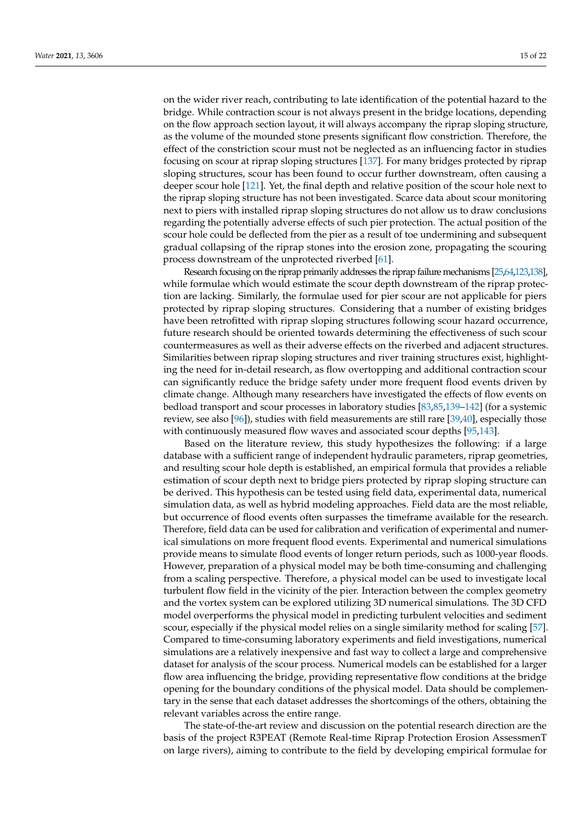on the wider river reach, contributing to late identification of the potential hazard to the bridge. While contraction scour is not always present in the bridge locations, depending on the flow approach section layout, it will always accompany the riprap sloping structure, as the volume of the mounded stone presents significant flow constriction. Therefore, the effect of the constriction scour must not be neglected as an influencing factor in studies focusing on scour at riprap sloping structures [\[137\]](#page-21-11). For many bridges protected by riprap sloping structures, scour has been found to occur further downstream, often causing a deeper scour hole [\[121\]](#page-20-30). Yet, the final depth and relative position of the scour hole next to the riprap sloping structure has not been investigated. Scarce data about scour monitoring next to piers with installed riprap sloping structures do not allow us to draw conclusions regarding the potentially adverse effects of such pier protection. The actual position of the scour hole could be deflected from the pier as a result of toe undermining and subsequent gradual collapsing of the riprap stones into the erosion zone, propagating the scouring process downstream of the unprotected riverbed [\[61\]](#page-19-2).

Research focusing on the riprap primarily addresses the riprap failure mechanisms [\[25,](#page-17-22)[64](#page-19-5)[,123](#page-20-32)[,138\]](#page-21-12), while formulae which would estimate the scour depth downstream of the riprap protection are lacking. Similarly, the formulae used for pier scour are not applicable for piers protected by riprap sloping structures. Considering that a number of existing bridges have been retrofitted with riprap sloping structures following scour hazard occurrence, future research should be oriented towards determining the effectiveness of such scour countermeasures as well as their adverse effects on the riverbed and adjacent structures. Similarities between riprap sloping structures and river training structures exist, highlighting the need for in-detail research, as flow overtopping and additional contraction scour can significantly reduce the bridge safety under more frequent flood events driven by climate change. Although many researchers have investigated the effects of flow events on bedload transport and scour processes in laboratory studies [\[83](#page-19-21)[,85](#page-19-23)[,139–](#page-21-13)[142\]](#page-21-14) (for a systemic review, see also [\[96\]](#page-20-5)), studies with field measurements are still rare [\[39,](#page-18-29)[40\]](#page-18-10), especially those with continuously measured flow waves and associated scour depths [\[95](#page-20-4)[,143\]](#page-21-15).

Based on the literature review, this study hypothesizes the following: if a large database with a sufficient range of independent hydraulic parameters, riprap geometries, and resulting scour hole depth is established, an empirical formula that provides a reliable estimation of scour depth next to bridge piers protected by riprap sloping structure can be derived. This hypothesis can be tested using field data, experimental data, numerical simulation data, as well as hybrid modeling approaches. Field data are the most reliable, but occurrence of flood events often surpasses the timeframe available for the research. Therefore, field data can be used for calibration and verification of experimental and numerical simulations on more frequent flood events. Experimental and numerical simulations provide means to simulate flood events of longer return periods, such as 1000-year floods. However, preparation of a physical model may be both time-consuming and challenging from a scaling perspective. Therefore, a physical model can be used to investigate local turbulent flow field in the vicinity of the pier. Interaction between the complex geometry and the vortex system can be explored utilizing 3D numerical simulations. The 3D CFD model overperforms the physical model in predicting turbulent velocities and sediment scour, especially if the physical model relies on a single similarity method for scaling [\[57\]](#page-18-27). Compared to time-consuming laboratory experiments and field investigations, numerical simulations are a relatively inexpensive and fast way to collect a large and comprehensive dataset for analysis of the scour process. Numerical models can be established for a larger flow area influencing the bridge, providing representative flow conditions at the bridge opening for the boundary conditions of the physical model. Data should be complementary in the sense that each dataset addresses the shortcomings of the others, obtaining the relevant variables across the entire range.

The state-of-the-art review and discussion on the potential research direction are the basis of the project R3PEAT (Remote Real-time Riprap Protection Erosion AssessmenT on large rivers), aiming to contribute to the field by developing empirical formulae for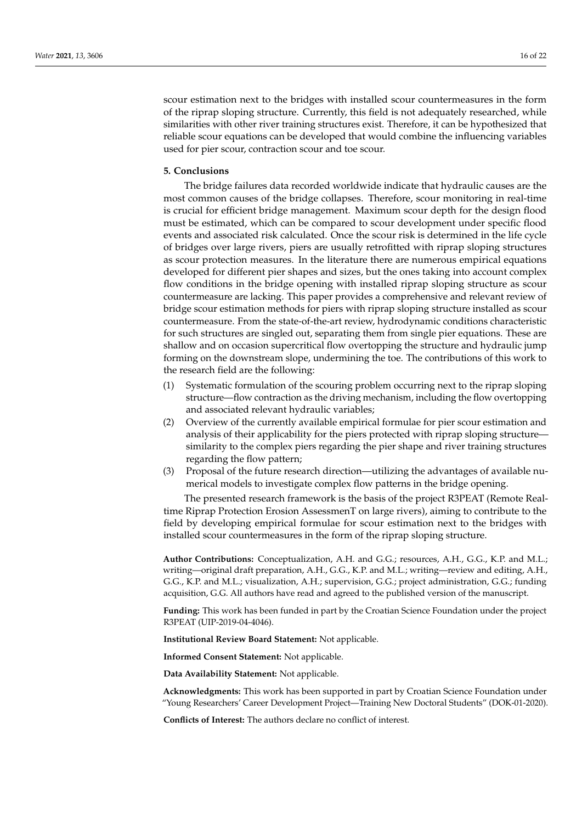scour estimation next to the bridges with installed scour countermeasures in the form of the riprap sloping structure. Currently, this field is not adequately researched, while similarities with other river training structures exist. Therefore, it can be hypothesized that reliable scour equations can be developed that would combine the influencing variables used for pier scour, contraction scour and toe scour.

## **5. Conclusions**

The bridge failures data recorded worldwide indicate that hydraulic causes are the most common causes of the bridge collapses. Therefore, scour monitoring in real-time is crucial for efficient bridge management. Maximum scour depth for the design flood must be estimated, which can be compared to scour development under specific flood events and associated risk calculated. Once the scour risk is determined in the life cycle of bridges over large rivers, piers are usually retrofitted with riprap sloping structures as scour protection measures. In the literature there are numerous empirical equations developed for different pier shapes and sizes, but the ones taking into account complex flow conditions in the bridge opening with installed riprap sloping structure as scour countermeasure are lacking. This paper provides a comprehensive and relevant review of bridge scour estimation methods for piers with riprap sloping structure installed as scour countermeasure. From the state-of-the-art review, hydrodynamic conditions characteristic for such structures are singled out, separating them from single pier equations. These are shallow and on occasion supercritical flow overtopping the structure and hydraulic jump forming on the downstream slope, undermining the toe. The contributions of this work to the research field are the following:

- (1) Systematic formulation of the scouring problem occurring next to the riprap sloping structure—flow contraction as the driving mechanism, including the flow overtopping and associated relevant hydraulic variables;
- (2) Overview of the currently available empirical formulae for pier scour estimation and analysis of their applicability for the piers protected with riprap sloping structure similarity to the complex piers regarding the pier shape and river training structures regarding the flow pattern;
- (3) Proposal of the future research direction—utilizing the advantages of available numerical models to investigate complex flow patterns in the bridge opening.

The presented research framework is the basis of the project R3PEAT (Remote Realtime Riprap Protection Erosion AssessmenT on large rivers), aiming to contribute to the field by developing empirical formulae for scour estimation next to the bridges with installed scour countermeasures in the form of the riprap sloping structure.

**Author Contributions:** Conceptualization, A.H. and G.G.; resources, A.H., G.G., K.P. and M.L.; writing—original draft preparation, A.H., G.G., K.P. and M.L.; writing—review and editing, A.H., G.G., K.P. and M.L.; visualization, A.H.; supervision, G.G.; project administration, G.G.; funding acquisition, G.G. All authors have read and agreed to the published version of the manuscript.

**Funding:** This work has been funded in part by the Croatian Science Foundation under the project R3PEAT (UIP-2019-04-4046).

**Institutional Review Board Statement:** Not applicable.

**Informed Consent Statement:** Not applicable.

**Data Availability Statement:** Not applicable.

**Acknowledgments:** This work has been supported in part by Croatian Science Foundation under "Young Researchers' Career Development Project—Training New Doctoral Students" (DOK-01-2020).

**Conflicts of Interest:** The authors declare no conflict of interest.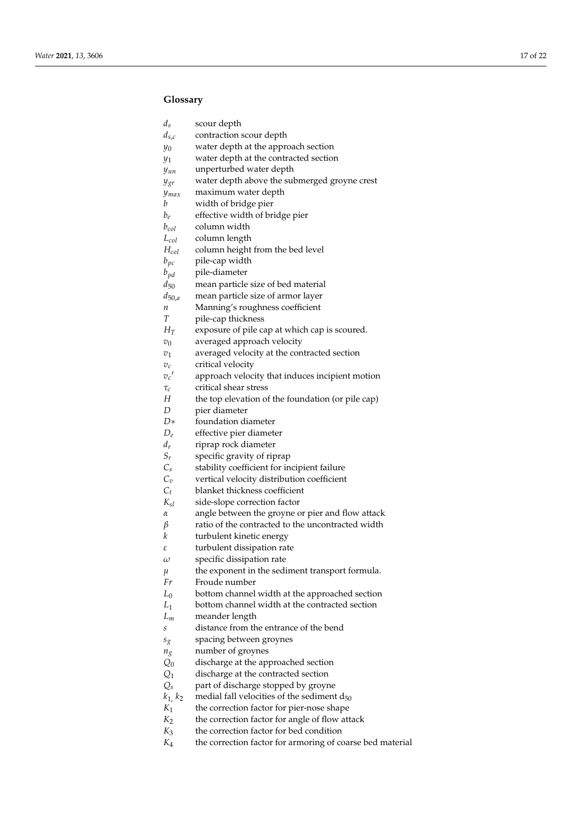# **Glossary**

| $d_{\rm s}$ | scour depth |
|-------------|-------------|
|-------------|-------------|

- *ds*,*c* contraction scour depth
- $y_0$  water depth at the approach section
- *y*<sup>1</sup> water depth at the contracted section
- *yun* unperturbed water depth
- *ygr* water depth above the submerged groyne crest
- *ymax* maximum water depth
- *b* width of bridge pier
- *be* effective width of bridge pier
- *bcol* column width
- *L*<sub>col</sub> column length<br>*H*<sub>col</sub> column height
- *H*<sub>*col*</sub> column height from the bed level  $b_{\nu c}$  pile-cap width
- $b_{pc}$  pile-cap width  $b_{pd}$  pile-diameter
- $p$ ile-diameter
- $d_{50}$  mean particle size of bed material mean particle size of armor layer
- mean particle size of armor layer
- *n* Manning's roughness coefficient
- *T* pile-cap thickness
- *H<sup>T</sup>* exposure of pile cap at which cap is scoured.
- $v_0$  averaged approach velocity
- $v_1$  averaged velocity at the contracted section
- *vc* critical velocity
- $v_c$ <sup> $\prime$ </sup> approach velocity that induces incipient motion
- *τc* critical shear stress
- *H* the top elevation of the foundation (or pile cap)
- *D* pier diameter<br>*D*\* foundation di
- foundation diameter
- $D_e$  effective pier diameter<br> $d_r$  riprap rock diameter
- $d_r$  riprap rock diameter<br>*S<sub>r</sub>* specific gravity of rip
- $S_r$  specific gravity of riprap<br>*C<sub>s</sub>* stability coefficient for in
- stability coefficient for incipient failure
- $C_v$  vertical velocity distribution coefficient
- *Ct* blanket thickness coefficient
- $K_{sl}$  side-slope correction factor  $\alpha$  angle between the grovne c
- *α* angle between the groyne or pier and flow attack
- *β* ratio of the contracted to the uncontracted width
- *k* turbulent kinetic energy
- *ε* turbulent dissipation rate
- *ω* specific dissipation rate
- *µ* the exponent in the sediment transport formula.<br> $Fr$  Froude number
- Froude number
- *L*<sub>0</sub> bottom channel width at the approached section bottom channel width at the contracted section
- bottom channel width at the contracted section
- *Lm* meander length
- *s* distance from the entrance of the bend
- *sg* spacing between groynes
- *ng* number of groynes
- *Q*<sup>0</sup> discharge at the approached section
- *Q*<sup>1</sup> discharge at the contracted section
- $Q_s$  part of discharge stopped by groyne  $k_1, k_2$  medial fall velocities of the sediment
- medial fall velocities of the sediment  $d_{50}$
- *K*1 the correction factor for pier-nose shape
- *K* the correction factor for angle of flow attack
- *K* the correction factor for bed condition
- *K*4 the correction factor for armoring of coarse bed material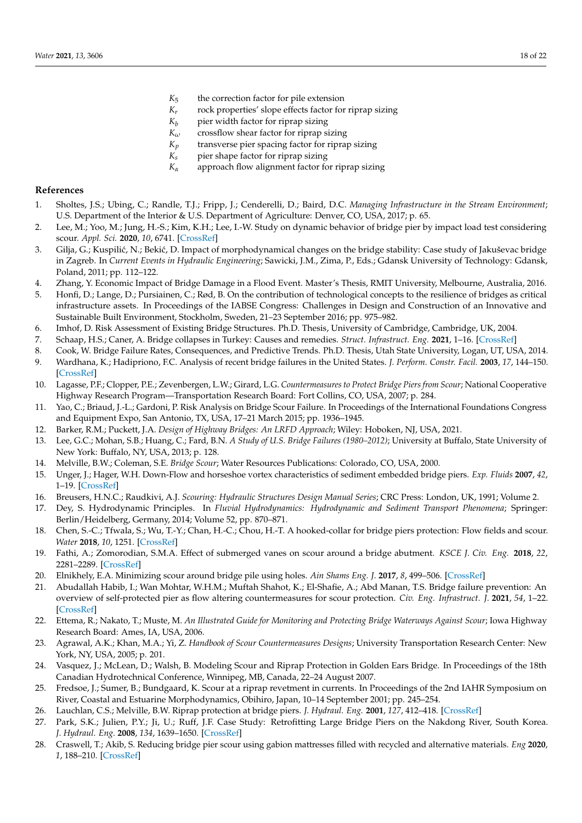- *K*<sup>5</sup> the correction factor for pile extension
- *Kr* rock properties' slope effects factor for riprap sizing
- *K*<sup>*b*</sup> pier width factor for riprap sizing  $K_{\omega}$  crossflow shear factor for riprap si
- 
- *K*<sub>*ω*</sub> crossflow shear factor for riprap sizing *K*<sup>*p*</sup> transverse pier spacing factor for ripra  $K_p$  transverse pier spacing factor for riprap sizing<br> $K_s$  pier shape factor for riprap sizing
- $K_s$  pier shape factor for riprap sizing  $K_\alpha$  approach flow alignment factor fo
- approach flow alignment factor for riprap sizing

# **References**

- <span id="page-17-0"></span>1. Sholtes, J.S.; Ubing, C.; Randle, T.J.; Fripp, J.; Cenderelli, D.; Baird, D.C. *Managing Infrastructure in the Stream Environment*; U.S. Department of the Interior & U.S. Department of Agriculture: Denver, CO, USA, 2017; p. 65.
- <span id="page-17-1"></span>2. Lee, M.; Yoo, M.; Jung, H.-S.; Kim, K.H.; Lee, I.-W. Study on dynamic behavior of bridge pier by impact load test considering scour. *Appl. Sci.* **2020**, *10*, 6741. [\[CrossRef\]](http://doi.org/10.3390/app10196741)
- <span id="page-17-2"></span>3. Gilja, G.; Kuspilić, N.; Bekić, D. Impact of morphodynamical changes on the bridge stability: Case study of Jakuševac bridge in Zagreb. In *Current Events in Hydraulic Engineering*; Sawicki, J.M., Zima, P., Eds.; Gdansk University of Technology: Gdansk, Poland, 2011; pp. 112–122.
- <span id="page-17-3"></span>4. Zhang, Y. Economic Impact of Bridge Damage in a Flood Event. Master's Thesis, RMIT University, Melbourne, Australia, 2016.
- <span id="page-17-4"></span>5. Honfi, D.; Lange, D.; Pursiainen, C.; Rød, B. On the contribution of technological concepts to the resilience of bridges as critical infrastructure assets. In Proceedings of the IABSE Congress: Challenges in Design and Construction of an Innovative and Sustainable Built Environment, Stockholm, Sweden, 21–23 September 2016; pp. 975–982.
- <span id="page-17-5"></span>6. Imhof, D. Risk Assessment of Existing Bridge Structures. Ph.D. Thesis, University of Cambridge, Cambridge, UK, 2004.
- <span id="page-17-6"></span>7. Schaap, H.S.; Caner, A. Bridge collapses in Turkey: Causes and remedies. *Struct. Infrastruct. Eng.* **2021**, 1–16. [\[CrossRef\]](http://doi.org/10.1080/15732479.2020.1867198)
- <span id="page-17-7"></span>8. Cook, W. Bridge Failure Rates, Consequences, and Predictive Trends. Ph.D. Thesis, Utah State University, Logan, UT, USA, 2014. 9. Wardhana, K.; Hadipriono, F.C. Analysis of recent bridge failures in the United States. *J. Perform. Constr. Facil.* **2003**, *17*, 144–150.
- [\[CrossRef\]](http://doi.org/10.1061/(ASCE)0887-3828(2003)17:3(144)) 10. Lagasse, P.F.; Clopper, P.E.; Zevenbergen, L.W.; Girard, L.G. *Countermeasures to Protect Bridge Piers from Scour*; National Cooperative
- <span id="page-17-26"></span>Highway Research Program—Transportation Research Board: Fort Collins, CO, USA, 2007; p. 284.
- <span id="page-17-8"></span>11. Yao, C.; Briaud, J.-L.; Gardoni, P. Risk Analysis on Bridge Scour Failure. In Proceedings of the International Foundations Congress and Equipment Expo, San Antonio, TX, USA, 17–21 March 2015; pp. 1936–1945.
- <span id="page-17-9"></span>12. Barker, R.M.; Puckett, J.A. *Design of Highway Bridges: An LRFD Approach*; Wiley: Hoboken, NJ, USA, 2021.
- <span id="page-17-10"></span>13. Lee, G.C.; Mohan, S.B.; Huang, C.; Fard, B.N. *A Study of U.S. Bridge Failures (1980–2012)*; University at Buffalo, State University of New York: Buffalo, NY, USA, 2013; p. 128.
- <span id="page-17-11"></span>14. Melville, B.W.; Coleman, S.E. *Bridge Scour*; Water Resources Publications: Colorado, CO, USA, 2000.
- <span id="page-17-12"></span>15. Unger, J.; Hager, W.H. Down-Flow and horseshoe vortex characteristics of sediment embedded bridge piers. *Exp. Fluids* **2007**, *42*, 1–19. [\[CrossRef\]](http://doi.org/10.1007/s00348-006-0209-7)
- <span id="page-17-13"></span>16. Breusers, H.N.C.; Raudkivi, A.J. *Scouring: Hydraulic Structures Design Manual Series*; CRC Press: London, UK, 1991; Volume 2.
- <span id="page-17-14"></span>17. Dey, S. Hydrodynamic Principles. In *Fluvial Hydrodynamics: Hydrodynamic and Sediment Transport Phenomena*; Springer: Berlin/Heidelberg, Germany, 2014; Volume 52, pp. 870–871.
- <span id="page-17-15"></span>18. Chen, S.-C.; Tfwala, S.; Wu, T.-Y.; Chan, H.-C.; Chou, H.-T. A hooked-collar for bridge piers protection: Flow fields and scour. *Water* **2018**, *10*, 1251. [\[CrossRef\]](http://doi.org/10.3390/w10091251)
- <span id="page-17-16"></span>19. Fathi, A.; Zomorodian, S.M.A. Effect of submerged vanes on scour around a bridge abutment. *KSCE J. Civ. Eng.* **2018**, *22*, 2281–2289. [\[CrossRef\]](http://doi.org/10.1007/s12205-017-1453-5)
- <span id="page-17-17"></span>20. Elnikhely, E.A. Minimizing scour around bridge pile using holes. *Ain Shams Eng. J.* **2017**, *8*, 499–506. [\[CrossRef\]](http://doi.org/10.1016/j.asej.2016.06.016)
- <span id="page-17-18"></span>21. Abudallah Habib, I.; Wan Mohtar, W.H.M.; Muftah Shahot, K.; El-Shafie, A.; Abd Manan, T.S. Bridge failure prevention: An overview of self-protected pier as flow altering countermeasures for scour protection. *Civ. Eng. Infrastruct. J.* **2021**, *54*, 1–22. [\[CrossRef\]](http://doi.org/10.22059/CEIJ.2020.292296.1627)
- <span id="page-17-19"></span>22. Ettema, R.; Nakato, T.; Muste, M. *An Illustrated Guide for Monitoring and Protecting Bridge Waterways Against Scour*; Iowa Highway Research Board: Ames, IA, USA, 2006.
- <span id="page-17-20"></span>23. Agrawal, A.K.; Khan, M.A.; Yi, Z. *Handbook of Scour Countermeasures Designs*; University Transportation Research Center: New York, NY, USA, 2005; p. 201.
- <span id="page-17-21"></span>24. Vasquez, J.; McLean, D.; Walsh, B. Modeling Scour and Riprap Protection in Golden Ears Bridge. In Proceedings of the 18th Canadian Hydrotechnical Conference, Winnipeg, MB, Canada, 22–24 August 2007.
- <span id="page-17-22"></span>25. Fredsoe, J.; Sumer, B.; Bundgaard, K. Scour at a riprap revetment in currents. In Proceedings of the 2nd IAHR Symposium on River, Coastal and Estuarine Morphodynamics, Obihiro, Japan, 10–14 September 2001; pp. 245–254.
- <span id="page-17-23"></span>26. Lauchlan, C.S.; Melville, B.W. Riprap protection at bridge piers. *J. Hydraul. Eng.* **2001**, *127*, 412–418. [\[CrossRef\]](http://doi.org/10.1061/(ASCE)0733-9429(2001)127:5(412))
- <span id="page-17-24"></span>27. Park, S.K.; Julien, P.Y.; Ji, U.; Ruff, J.F. Case Study: Retrofitting Large Bridge Piers on the Nakdong River, South Korea. *J. Hydraul. Eng.* **2008**, *134*, 1639–1650. [\[CrossRef\]](http://doi.org/10.1061/(ASCE)0733-9429(2008)134:11(1639))
- <span id="page-17-25"></span>28. Craswell, T.; Akib, S. Reducing bridge pier scour using gabion mattresses filled with recycled and alternative materials. *Eng* **2020**, *1*, 188–210. [\[CrossRef\]](http://doi.org/10.3390/eng1020013)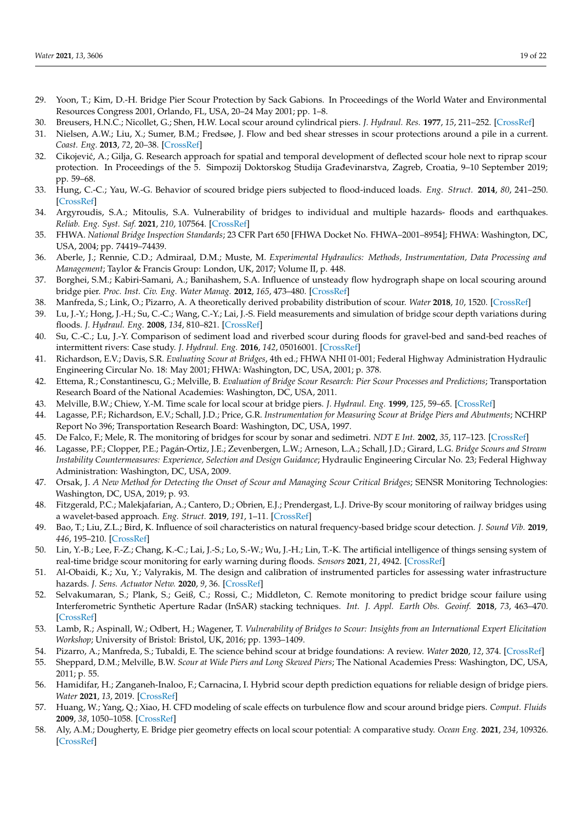- <span id="page-18-0"></span>29. Yoon, T.; Kim, D.-H. Bridge Pier Scour Protection by Sack Gabions. In Proceedings of the World Water and Environmental Resources Congress 2001, Orlando, FL, USA, 20–24 May 2001; pp. 1–8.
- <span id="page-18-1"></span>30. Breusers, H.N.C.; Nicollet, G.; Shen, H.W. Local scour around cylindrical piers. *J. Hydraul. Res.* **1977**, *15*, 211–252. [\[CrossRef\]](http://doi.org/10.1080/00221687709499645)
- <span id="page-18-2"></span>31. Nielsen, A.W.; Liu, X.; Sumer, B.M.; Fredsøe, J. Flow and bed shear stresses in scour protections around a pile in a current. *Coast. Eng.* **2013**, *72*, 20–38. [\[CrossRef\]](http://doi.org/10.1016/j.coastaleng.2012.09.001)
- <span id="page-18-3"></span>32. Cikojević, A.; Gilja, G. Research approach for spatial and temporal development of deflected scour hole next to riprap scour protection. In Proceedings of the 5. Simpozij Doktorskog Studija Građevinarstva, Zagreb, Croatia, 9–10 September 2019; pp. 59–68.
- <span id="page-18-4"></span>33. Hung, C.-C.; Yau, W.-G. Behavior of scoured bridge piers subjected to flood-induced loads. *Eng. Struct.* **2014**, *80*, 241–250. [\[CrossRef\]](http://doi.org/10.1016/j.engstruct.2014.09.009)
- <span id="page-18-5"></span>34. Argyroudis, S.A.; Mitoulis, S.A. Vulnerability of bridges to individual and multiple hazards- floods and earthquakes. *Reliab. Eng. Syst. Saf.* **2021**, *210*, 107564. [\[CrossRef\]](http://doi.org/10.1016/j.ress.2021.107564)
- <span id="page-18-6"></span>35. FHWA. *National Bridge Inspection Standards*; 23 CFR Part 650 [FHWA Docket No. FHWA–2001–8954]; FHWA: Washington, DC, USA, 2004; pp. 74419–74439.
- <span id="page-18-7"></span>36. Aberle, J.; Rennie, C.D.; Admiraal, D.M.; Muste, M. *Experimental Hydraulics: Methods, Instrumentation, Data Processing and Management*; Taylor & Francis Group: London, UK, 2017; Volume II, p. 448.
- <span id="page-18-8"></span>37. Borghei, S.M.; Kabiri-Samani, A.; Banihashem, S.A. Influence of unsteady flow hydrograph shape on local scouring around bridge pier. *Proc. Inst. Civ. Eng. Water Manag.* **2012**, *165*, 473–480. [\[CrossRef\]](http://doi.org/10.1680/wama.11.00020)
- <span id="page-18-9"></span>38. Manfreda, S.; Link, O.; Pizarro, A. A theoretically derived probability distribution of scour. *Water* **2018**, *10*, 1520. [\[CrossRef\]](http://doi.org/10.3390/w10111520)
- <span id="page-18-29"></span>39. Lu, J.-Y.; Hong, J.-H.; Su, C.-C.; Wang, C.-Y.; Lai, J.-S. Field measurements and simulation of bridge scour depth variations during floods. *J. Hydraul. Eng.* **2008**, *134*, 810–821. [\[CrossRef\]](http://doi.org/10.1061/(ASCE)0733-9429(2008)134:6(810))
- <span id="page-18-10"></span>40. Su, C.-C.; Lu, J.-Y. Comparison of sediment load and riverbed scour during floods for gravel-bed and sand-bed reaches of intermittent rivers: Case study. *J. Hydraul. Eng.* **2016**, *142*, 05016001. [\[CrossRef\]](http://doi.org/10.1061/(ASCE)HY.1943-7900.0001119)
- <span id="page-18-11"></span>41. Richardson, E.V.; Davis, S.R. *Evaluating Scour at Bridges*, 4th ed.; FHWA NHI 01-001; Federal Highway Administration Hydraulic Engineering Circular No. 18: May 2001; FHWA: Washington, DC, USA, 2001; p. 378.
- <span id="page-18-12"></span>42. Ettema, R.; Constantinescu, G.; Melville, B. *Evaluation of Bridge Scour Research: Pier Scour Processes and Predictions*; Transportation Research Board of the National Academies: Washington, DC, USA, 2011.
- <span id="page-18-13"></span>43. Melville, B.W.; Chiew, Y.-M. Time scale for local scour at bridge piers. *J. Hydraul. Eng.* **1999**, *125*, 59–65. [\[CrossRef\]](http://doi.org/10.1061/(ASCE)0733-9429(1999)125:1(59))
- <span id="page-18-14"></span>44. Lagasse, P.F.; Richardson, E.V.; Schall, J.D.; Price, G.R. *Instrumentation for Measuring Scour at Bridge Piers and Abutments*; NCHRP Report No 396; Transportation Research Board: Washington, DC, USA, 1997.
- <span id="page-18-15"></span>45. De Falco, F.; Mele, R. The monitoring of bridges for scour by sonar and sedimetri. *NDT E Int.* **2002**, *35*, 117–123. [\[CrossRef\]](http://doi.org/10.1016/S0963-8695(01)00031-7)
- <span id="page-18-16"></span>46. Lagasse, P.F.; Clopper, P.E.; Pagán-Ortiz, J.E.; Zevenbergen, L.W.; Arneson, L.A.; Schall, J.D.; Girard, L.G. *Bridge Scours and Stream Instability Countermeasures: Experience, Selection and Design Guidance*; Hydraulic Engineering Circular No. 23; Federal Highway Administration: Washington, DC, USA, 2009.
- <span id="page-18-17"></span>47. Orsak, J. *A New Method for Detecting the Onset of Scour and Managing Scour Critical Bridges*; SENSR Monitoring Technologies: Washington, DC, USA, 2019; p. 93.
- <span id="page-18-18"></span>48. Fitzgerald, P.C.; Malekjafarian, A.; Cantero, D.; Obrien, E.J.; Prendergast, L.J. Drive-By scour monitoring of railway bridges using a wavelet-based approach. *Eng. Struct.* **2019**, *191*, 1–11. [\[CrossRef\]](http://doi.org/10.1016/j.engstruct.2019.04.046)
- <span id="page-18-19"></span>49. Bao, T.; Liu, Z.L.; Bird, K. Influence of soil characteristics on natural frequency-based bridge scour detection. *J. Sound Vib.* **2019**, *446*, 195–210. [\[CrossRef\]](http://doi.org/10.1016/j.jsv.2019.01.040)
- <span id="page-18-20"></span>50. Lin, Y.-B.; Lee, F.-Z.; Chang, K.-C.; Lai, J.-S.; Lo, S.-W.; Wu, J.-H.; Lin, T.-K. The artificial intelligence of things sensing system of real-time bridge scour monitoring for early warning during floods. *Sensors* **2021**, *21*, 4942. [\[CrossRef\]](http://doi.org/10.3390/s21144942)
- <span id="page-18-21"></span>51. Al-Obaidi, K.; Xu, Y.; Valyrakis, M. The design and calibration of instrumented particles for assessing water infrastructure hazards. *J. Sens. Actuator Netw.* **2020**, *9*, 36. [\[CrossRef\]](http://doi.org/10.3390/jsan9030036)
- <span id="page-18-22"></span>52. Selvakumaran, S.; Plank, S.; Geiß, C.; Rossi, C.; Middleton, C. Remote monitoring to predict bridge scour failure using Interferometric Synthetic Aperture Radar (InSAR) stacking techniques. *Int. J. Appl. Earth Obs. Geoinf.* **2018**, *73*, 463–470. [\[CrossRef\]](http://doi.org/10.1016/j.jag.2018.07.004)
- <span id="page-18-23"></span>53. Lamb, R.; Aspinall, W.; Odbert, H.; Wagener, T. *Vulnerability of Bridges to Scour: Insights from an International Expert Elicitation Workshop*; University of Bristol: Bristol, UK, 2016; pp. 1393–1409.
- <span id="page-18-24"></span>54. Pizarro, A.; Manfreda, S.; Tubaldi, E. The science behind scour at bridge foundations: A review. *Water* **2020**, *12*, 374. [\[CrossRef\]](http://doi.org/10.3390/w12020374)
- <span id="page-18-25"></span>55. Sheppard, D.M.; Melville, B.W. *Scour at Wide Piers and Long Skewed Piers*; The National Academies Press: Washington, DC, USA, 2011; p. 55.
- <span id="page-18-26"></span>56. Hamidifar, H.; Zanganeh-Inaloo, F.; Carnacina, I. Hybrid scour depth prediction equations for reliable design of bridge piers. *Water* **2021**, *13*, 2019. [\[CrossRef\]](http://doi.org/10.3390/w13152019)
- <span id="page-18-27"></span>57. Huang, W.; Yang, Q.; Xiao, H. CFD modeling of scale effects on turbulence flow and scour around bridge piers. *Comput. Fluids* **2009**, *38*, 1050–1058. [\[CrossRef\]](http://doi.org/10.1016/j.compfluid.2008.01.029)
- <span id="page-18-28"></span>58. Aly, A.M.; Dougherty, E. Bridge pier geometry effects on local scour potential: A comparative study. *Ocean Eng.* **2021**, *234*, 109326. [\[CrossRef\]](http://doi.org/10.1016/j.oceaneng.2021.109326)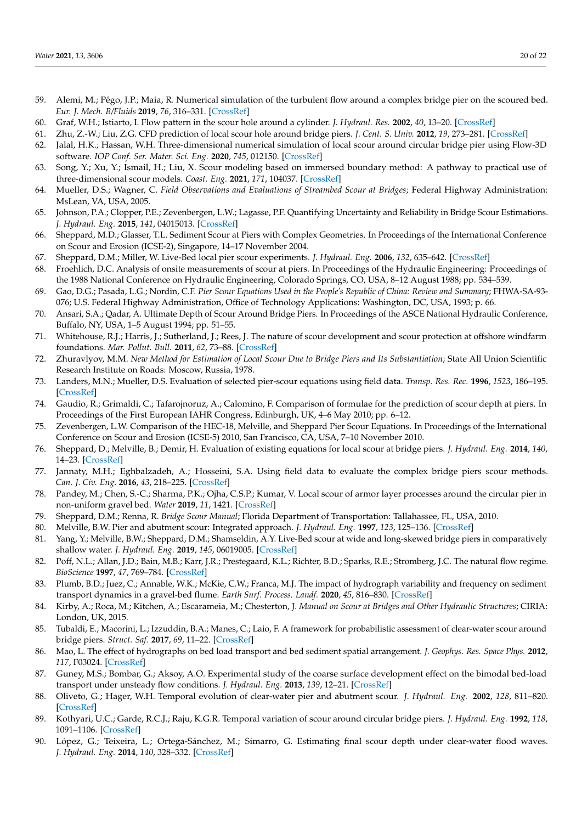- <span id="page-19-0"></span>59. Alemi, M.; Pêgo, J.P.; Maia, R. Numerical simulation of the turbulent flow around a complex bridge pier on the scoured bed. *Eur. J. Mech. B/Fluids* **2019**, *76*, 316–331. [\[CrossRef\]](http://doi.org/10.1016/j.euromechflu.2019.03.011)
- <span id="page-19-1"></span>60. Graf, W.H.; Istiarto, I. Flow pattern in the scour hole around a cylinder. *J. Hydraul. Res.* **2002**, *40*, 13–20. [\[CrossRef\]](http://doi.org/10.1080/00221680209499869)
- <span id="page-19-2"></span>61. Zhu, Z.-W.; Liu, Z.G. CFD prediction of local scour hole around bridge piers. *J. Cent. S. Univ.* **2012**, *19*, 273–281. [\[CrossRef\]](http://doi.org/10.1007/s11771-012-1001-x)
- <span id="page-19-3"></span>62. Jalal, H.K.; Hassan, W.H. Three-dimensional numerical simulation of local scour around circular bridge pier using Flow-3D software. *IOP Conf. Ser. Mater. Sci. Eng.* **2020**, *745*, 012150. [\[CrossRef\]](http://doi.org/10.1088/1757-899X/745/1/012150)
- <span id="page-19-4"></span>63. Song, Y.; Xu, Y.; Ismail, H.; Liu, X. Scour modeling based on immersed boundary method: A pathway to practical use of three-dimensional scour models. *Coast. Eng.* **2021**, *171*, 104037. [\[CrossRef\]](http://doi.org/10.1016/j.coastaleng.2021.104037)
- <span id="page-19-5"></span>64. Mueller, D.S.; Wagner, C. *Field Observations and Evaluations of Streambed Scour at Bridges*; Federal Highway Administration: MsLean, VA, USA, 2005.
- <span id="page-19-6"></span>65. Johnson, P.A.; Clopper, P.E.; Zevenbergen, L.W.; Lagasse, P.F. Quantifying Uncertainty and Reliability in Bridge Scour Estimations. *J. Hydraul. Eng.* **2015**, *141*, 04015013. [\[CrossRef\]](http://doi.org/10.1061/(ASCE)HY.1943-7900.0001017)
- <span id="page-19-7"></span>66. Sheppard, M.D.; Glasser, T.L. Sediment Scour at Piers with Complex Geometries. In Proceedings of the International Conference on Scour and Erosion (ICSE-2), Singapore, 14–17 November 2004.
- <span id="page-19-8"></span>67. Sheppard, D.M.; Miller, W. Live-Bed local pier scour experiments. *J. Hydraul. Eng.* **2006**, *132*, 635–642. [\[CrossRef\]](http://doi.org/10.1061/(ASCE)0733-9429(2006)132:7(635))
- <span id="page-19-9"></span>68. Froehlich, D.C. Analysis of onsite measurements of scour at piers. In Proceedings of the Hydraulic Engineering: Proceedings of the 1988 National Conference on Hydraulic Engineering, Colorado Springs, CO, USA, 8–12 August 1988; pp. 534–539.
- <span id="page-19-10"></span>69. Gao, D.G.; Pasada, L.G.; Nordin, C.F. *Pier Scour Equations Used in the People's Republic of China: Review and Summary*; FHWA-SA-93- 076; U.S. Federal Highway Administration, Office of Technology Applications: Washington, DC, USA, 1993; p. 66.
- <span id="page-19-11"></span>70. Ansari, S.A.; Qadar, A. Ultimate Depth of Scour Around Bridge Piers. In Proceedings of the ASCE National Hydraulic Conference, Buffalo, NY, USA, 1–5 August 1994; pp. 51–55.
- <span id="page-19-12"></span>71. Whitehouse, R.J.; Harris, J.; Sutherland, J.; Rees, J. The nature of scour development and scour protection at offshore windfarm foundations. *Mar. Pollut. Bull.* **2011**, *62*, 73–88. [\[CrossRef\]](http://doi.org/10.1016/j.marpolbul.2010.09.007)
- <span id="page-19-13"></span>72. Zhuravlyov, M.M. *New Method for Estimation of Local Scour Due to Bridge Piers and Its Substantiation*; State All Union Scientific Research Institute on Roads: Moscow, Russia, 1978.
- <span id="page-19-14"></span>73. Landers, M.N.; Mueller, D.S. Evaluation of selected pier-scour equations using field data. *Transp. Res. Rec.* **1996**, *1523*, 186–195. [\[CrossRef\]](http://doi.org/10.1177/0361198196152300123)
- 74. Gaudio, R.; Grimaldi, C.; Tafarojnoruz, A.; Calomino, F. Comparison of formulae for the prediction of scour depth at piers. In Proceedings of the First European IAHR Congress, Edinburgh, UK, 4–6 May 2010; pp. 6–12.
- <span id="page-19-28"></span>75. Zevenbergen, L.W. Comparison of the HEC-18, Melville, and Sheppard Pier Scour Equations. In Proceedings of the International Conference on Scour and Erosion (ICSE-5) 2010, San Francisco, CA, USA, 7–10 November 2010.
- 76. Sheppard, D.; Melville, B.; Demir, H. Evaluation of existing equations for local scour at bridge piers. *J. Hydraul. Eng.* **2014**, *140*, 14–23. [\[CrossRef\]](http://doi.org/10.1061/(ASCE)HY.1943-7900.0000800)
- <span id="page-19-15"></span>77. Jannaty, M.H.; Eghbalzadeh, A.; Hosseini, S.A. Using field data to evaluate the complex bridge piers scour methods. *Can. J. Civ. Eng.* **2016**, *43*, 218–225. [\[CrossRef\]](http://doi.org/10.1139/cjce-2015-0118)
- <span id="page-19-16"></span>78. Pandey, M.; Chen, S.-C.; Sharma, P.K.; Ojha, C.S.P.; Kumar, V. Local scour of armor layer processes around the circular pier in non-uniform gravel bed. *Water* **2019**, *11*, 1421. [\[CrossRef\]](http://doi.org/10.3390/w11071421)
- <span id="page-19-17"></span>79. Sheppard, D.M.; Renna, R. *Bridge Scour Manual*; Florida Department of Transportation: Tallahassee, FL, USA, 2010.
- <span id="page-19-18"></span>80. Melville, B.W. Pier and abutment scour: Integrated approach. *J. Hydraul. Eng.* **1997**, *123*, 125–136. [\[CrossRef\]](http://doi.org/10.1061/(ASCE)0733-9429(1997)123:2(125))
- <span id="page-19-19"></span>81. Yang, Y.; Melville, B.W.; Sheppard, D.M.; Shamseldin, A.Y. Live-Bed scour at wide and long-skewed bridge piers in comparatively shallow water. *J. Hydraul. Eng.* **2019**, *145*, 06019005. [\[CrossRef\]](http://doi.org/10.1061/(ASCE)HY.1943-7900.0001600)
- <span id="page-19-20"></span>82. Poff, N.L.; Allan, J.D.; Bain, M.B.; Karr, J.R.; Prestegaard, K.L.; Richter, B.D.; Sparks, R.E.; Stromberg, J.C. The natural flow regime. *BioScience* **1997**, *47*, 769–784. [\[CrossRef\]](http://doi.org/10.2307/1313099)
- <span id="page-19-21"></span>83. Plumb, B.D.; Juez, C.; Annable, W.K.; McKie, C.W.; Franca, M.J. The impact of hydrograph variability and frequency on sediment transport dynamics in a gravel-bed flume. *Earth Surf. Process. Landf.* **2020**, *45*, 816–830. [\[CrossRef\]](http://doi.org/10.1002/esp.4770)
- <span id="page-19-22"></span>84. Kirby, A.; Roca, M.; Kitchen, A.; Escarameia, M.; Chesterton, J. *Manual on Scour at Bridges and Other Hydraulic Structures*; CIRIA: London, UK, 2015.
- <span id="page-19-23"></span>85. Tubaldi, E.; Macorini, L.; Izzuddin, B.A.; Manes, C.; Laio, F. A framework for probabilistic assessment of clear-water scour around bridge piers. *Struct. Saf.* **2017**, *69*, 11–22. [\[CrossRef\]](http://doi.org/10.1016/j.strusafe.2017.07.001)
- <span id="page-19-24"></span>86. Mao, L. The effect of hydrographs on bed load transport and bed sediment spatial arrangement. *J. Geophys. Res. Space Phys.* **2012**, *117*, F03024. [\[CrossRef\]](http://doi.org/10.1029/2012JF002428)
- <span id="page-19-25"></span>87. Guney, M.S.; Bombar, G.; Aksoy, A.O. Experimental study of the coarse surface development effect on the bimodal bed-load transport under unsteady flow conditions. *J. Hydraul. Eng.* **2013**, *139*, 12–21. [\[CrossRef\]](http://doi.org/10.1061/(ASCE)HY.1943-7900.0000640)
- <span id="page-19-26"></span>88. Oliveto, G.; Hager, W.H. Temporal evolution of clear-water pier and abutment scour. *J. Hydraul. Eng.* **2002**, *128*, 811–820. [\[CrossRef\]](http://doi.org/10.1061/(ASCE)0733-9429(2002)128:9(811))
- <span id="page-19-27"></span>89. Kothyari, U.C.; Garde, R.C.J.; Raju, K.G.R. Temporal variation of scour around circular bridge piers. *J. Hydraul. Eng.* **1992**, *118*, 1091–1106. [\[CrossRef\]](http://doi.org/10.1061/(ASCE)0733-9429(1992)118:8(1091))
- 90. López, G.; Teixeira, L.; Ortega-Sánchez, M.; Simarro, G. Estimating final scour depth under clear-water flood waves. *J. Hydraul. Eng.* **2014**, *140*, 328–332. [\[CrossRef\]](http://doi.org/10.1061/(ASCE)HY.1943-7900.0000804)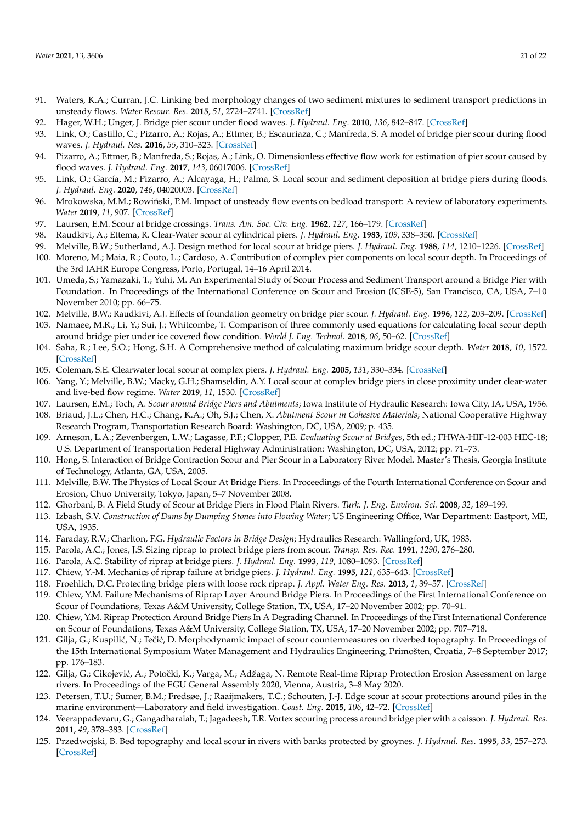- <span id="page-20-0"></span>91. Waters, K.A.; Curran, J.C. Linking bed morphology changes of two sediment mixtures to sediment transport predictions in unsteady flows. *Water Resour. Res.* **2015**, *51*, 2724–2741. [\[CrossRef\]](http://doi.org/10.1002/2014WR016083)
- <span id="page-20-1"></span>92. Hager, W.H.; Unger, J. Bridge pier scour under flood waves. *J. Hydraul. Eng.* **2010**, *136*, 842–847. [\[CrossRef\]](http://doi.org/10.1061/(ASCE)HY.1943-7900.0000281)
- <span id="page-20-2"></span>93. Link, O.; Castillo, C.; Pizarro, A.; Rojas, A.; Ettmer, B.; Escauriaza, C.; Manfreda, S. A model of bridge pier scour during flood waves. *J. Hydraul. Res.* **2016**, *55*, 310–323. [\[CrossRef\]](http://doi.org/10.1080/00221686.2016.1252802)
- <span id="page-20-3"></span>94. Pizarro, A.; Ettmer, B.; Manfreda, S.; Rojas, A.; Link, O. Dimensionless effective flow work for estimation of pier scour caused by flood waves. *J. Hydraul. Eng.* **2017**, *143*, 06017006. [\[CrossRef\]](http://doi.org/10.1061/(ASCE)HY.1943-7900.0001295)
- <span id="page-20-4"></span>95. Link, O.; García, M.; Pizarro, A.; Alcayaga, H.; Palma, S. Local scour and sediment deposition at bridge piers during floods. *J. Hydraul. Eng.* **2020**, *146*, 04020003. [\[CrossRef\]](http://doi.org/10.1061/(ASCE)HY.1943-7900.0001696)
- <span id="page-20-5"></span>96. Mrokowska, M.M.; Rowiński, P.M. Impact of unsteady flow events on bedload transport: A review of laboratory experiments. *Water* **2019**, *11*, 907. [\[CrossRef\]](http://doi.org/10.3390/w11050907)
- <span id="page-20-6"></span>97. Laursen, E.M. Scour at bridge crossings. *Trans. Am. Soc. Civ. Eng.* **1962**, *127*, 166–179. [\[CrossRef\]](http://doi.org/10.1061/TACEAT.0008432)
- <span id="page-20-7"></span>98. Raudkivi, A.; Ettema, R. Clear-Water scour at cylindrical piers. *J. Hydraul. Eng.* **1983**, *109*, 338–350. [\[CrossRef\]](http://doi.org/10.1061/(ASCE)0733-9429(1983)109:3(338))
- <span id="page-20-8"></span>99. Melville, B.W.; Sutherland, A.J. Design method for local scour at bridge piers. *J. Hydraul. Eng.* **1988**, *114*, 1210–1226. [\[CrossRef\]](http://doi.org/10.1061/(ASCE)0733-9429(1988)114:10(1210))
- <span id="page-20-9"></span>100. Moreno, M.; Maia, R.; Couto, L.; Cardoso, A. Contribution of complex pier components on local scour depth. In Proceedings of the 3rd IAHR Europe Congress, Porto, Portugal, 14–16 April 2014.
- <span id="page-20-10"></span>101. Umeda, S.; Yamazaki, T.; Yuhi, M. An Experimental Study of Scour Process and Sediment Transport around a Bridge Pier with Foundation. In Proceedings of the International Conference on Scour and Erosion (ICSE-5), San Francisco, CA, USA, 7–10 November 2010; pp. 66–75.
- <span id="page-20-11"></span>102. Melville, B.W.; Raudkivi, A.J. Effects of foundation geometry on bridge pier scour. *J. Hydraul. Eng.* **1996**, *122*, 203–209. [\[CrossRef\]](http://doi.org/10.1061/(ASCE)0733-9429(1996)122:4(203))
- <span id="page-20-12"></span>103. Namaee, M.R.; Li, Y.; Sui, J.; Whitcombe, T. Comparison of three commonly used equations for calculating local scour depth around bridge pier under ice covered flow condition. *World J. Eng. Technol.* **2018**, *06*, 50–62. [\[CrossRef\]](http://doi.org/10.4236/wjet.2018.62B006)
- <span id="page-20-13"></span>104. Saha, R.; Lee, S.O.; Hong, S.H. A Comprehensive method of calculating maximum bridge scour depth. *Water* **2018**, *10*, 1572. [\[CrossRef\]](http://doi.org/10.3390/w10111572)
- <span id="page-20-14"></span>105. Coleman, S.E. Clearwater local scour at complex piers. *J. Hydraul. Eng.* **2005**, *131*, 330–334. [\[CrossRef\]](http://doi.org/10.1061/(ASCE)0733-9429(2005)131:4(330))
- <span id="page-20-15"></span>106. Yang, Y.; Melville, B.W.; Macky, G.H.; Shamseldin, A.Y. Local scour at complex bridge piers in close proximity under clear-water and live-bed flow regime. *Water* **2019**, *11*, 1530. [\[CrossRef\]](http://doi.org/10.3390/w11081530)
- <span id="page-20-16"></span>107. Laursen, E.M.; Toch, A. *Scour around Bridge Piers and Abutments*; Iowa Institute of Hydraulic Research: Iowa City, IA, USA, 1956.
- <span id="page-20-17"></span>108. Briaud, J.L.; Chen, H.C.; Chang, K.A.; Oh, S.J.; Chen, X. *Abutment Scour in Cohesive Materials*; National Cooperative Highway Research Program, Transportation Research Board: Washington, DC, USA, 2009; p. 435.
- <span id="page-20-18"></span>109. Arneson, L.A.; Zevenbergen, L.W.; Lagasse, P.F.; Clopper, P.E. *Evaluating Scour at Bridges*, 5th ed.; FHWA-HIF-12-003 HEC-18; U.S. Department of Transportation Federal Highway Administration: Washington, DC, USA, 2012; pp. 71–73.
- <span id="page-20-19"></span>110. Hong, S. Interaction of Bridge Contraction Scour and Pier Scour in a Laboratory River Model. Master's Thesis, Georgia Institute of Technology, Atlanta, GA, USA, 2005.
- <span id="page-20-20"></span>111. Melville, B.W. The Physics of Local Scour At Bridge Piers. In Proceedings of the Fourth International Conference on Scour and Erosion, Chuo University, Tokyo, Japan, 5–7 November 2008.
- <span id="page-20-21"></span>112. Ghorbani, B. A Field Study of Scour at Bridge Piers in Flood Plain Rivers. *Turk. J. Eng. Environ. Sci.* **2008**, *32*, 189–199.
- <span id="page-20-22"></span>113. Izbash, S.V. *Construction of Dams by Dumping Stones into Flowing Water*; US Engineering Office, War Department: Eastport, ME, USA, 1935.
- <span id="page-20-23"></span>114. Faraday, R.V.; Charlton, F.G. *Hydraulic Factors in Bridge Design*; Hydraulics Research: Wallingford, UK, 1983.
- <span id="page-20-24"></span>115. Parola, A.C.; Jones, J.S. Sizing riprap to protect bridge piers from scour. *Transp. Res. Rec.* **1991**, *1290*, 276–280.
- <span id="page-20-25"></span>116. Parola, A.C. Stability of riprap at bridge piers. *J. Hydraul. Eng.* **1993**, *119*, 1080–1093. [\[CrossRef\]](http://doi.org/10.1061/(ASCE)0733-9429(1993)119:10(1080))
- <span id="page-20-26"></span>117. Chiew, Y.-M. Mechanics of riprap failure at bridge piers. *J. Hydraul. Eng.* **1995**, *121*, 635–643. [\[CrossRef\]](http://doi.org/10.1061/(ASCE)0733-9429(1995)121:9(635))
- <span id="page-20-27"></span>118. Froehlich, D.C. Protecting bridge piers with loose rock riprap. *J. Appl. Water Eng. Res.* **2013**, *1*, 39–57. [\[CrossRef\]](http://doi.org/10.1080/23249676.2013.828486)
- <span id="page-20-28"></span>119. Chiew, Y.M. Failure Mechanisms of Riprap Layer Around Bridge Piers. In Proceedings of the First International Conference on Scour of Foundations, Texas A&M University, College Station, TX, USA, 17–20 November 2002; pp. 70–91.
- <span id="page-20-29"></span>120. Chiew, Y.M. Riprap Protection Around Bridge Piers In A Degrading Channel. In Proceedings of the First International Conference on Scour of Foundations, Texas A&M University, College Station, TX, USA, 17–20 November 2002; pp. 707–718.
- <span id="page-20-30"></span>121. Gilja, G.; Kuspilić, N.; Tečić, D. Morphodynamic impact of scour countermeasures on riverbed topography. In Proceedings of the 15th International Symposium Water Management and Hydraulics Engineering, Primošten, Croatia, 7–8 September 2017; pp. 176–183.
- <span id="page-20-31"></span>122. Gilja, G.; Cikojević, A.; Potočki, K.; Varga, M.; Adžaga, N. Remote Real-time Riprap Protection Erosion Assessment on large rivers. In Proceedings of the EGU General Assembly 2020, Vienna, Austria, 3–8 May 2020.
- <span id="page-20-32"></span>123. Petersen, T.U.; Sumer, B.M.; Fredsøe, J.; Raaijmakers, T.C.; Schouten, J.-J. Edge scour at scour protections around piles in the marine environment—Laboratory and field investigation. *Coast. Eng.* **2015**, *106*, 42–72. [\[CrossRef\]](http://doi.org/10.1016/j.coastaleng.2015.08.007)
- <span id="page-20-33"></span>124. Veerappadevaru, G.; Gangadharaiah, T.; Jagadeesh, T.R. Vortex scouring process around bridge pier with a caisson. *J. Hydraul. Res.* **2011**, *49*, 378–383. [\[CrossRef\]](http://doi.org/10.1080/00221686.2011.568195)
- <span id="page-20-34"></span>125. Przedwojski, B. Bed topography and local scour in rivers with banks protected by groynes. *J. Hydraul. Res.* **1995**, *33*, 257–273. [\[CrossRef\]](http://doi.org/10.1080/00221689509498674)